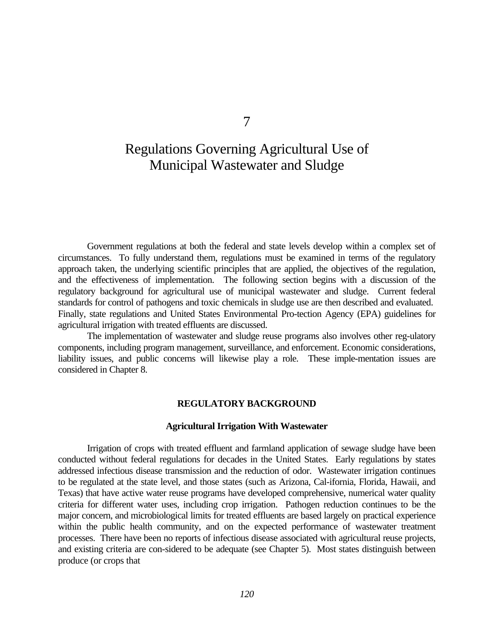7

# Regulations Governing Agricultural Use of Municipal Wastewater and Sludge

Government regulations at both the federal and state levels develop within a complex set of circumstances. To fully understand them, regulations must be examined in terms of the regulatory approach taken, the underlying scientific principles that are applied, the objectives of the regulation, and the effectiveness of implementation. The following section begins with a discussion of the regulatory background for agricultural use of municipal wastewater and sludge. Current federal standards for control of pathogens and toxic chemicals in sludge use are then described and evaluated. Finally, state regulations and United States Environmental Pro-tection Agency (EPA) guidelines for agricultural irrigation with treated effluents are discussed.

The implementation of wastewater and sludge reuse programs also involves other reg-ulatory components, including program management, surveillance, and enforcement. Economic considerations, liability issues, and public concerns will likewise play a role. These imple-mentation issues are considered in Chapter 8.

# **REGULATORY BACKGROUND**

# **Agricultural Irrigation With Wastewater**

Irrigation of crops with treated effluent and farmland application of sewage sludge have been conducted without federal regulations for decades in the United States. Early regulations by states addressed infectious disease transmission and the reduction of odor. Wastewater irrigation continues to be regulated at the state level, and those states (such as Arizona, Cal-ifornia, Florida, Hawaii, and Texas) that have active water reuse programs have developed comprehensive, numerical water quality criteria for different water uses, including crop irrigation. Pathogen reduction continues to be the major concern, and microbiological limits for treated effluents are based largely on practical experience within the public health community, and on the expected performance of wastewater treatment processes. There have been no reports of infectious disease associated with agricultural reuse projects, and existing criteria are con-sidered to be adequate (see Chapter 5). Most states distinguish between produce (or crops that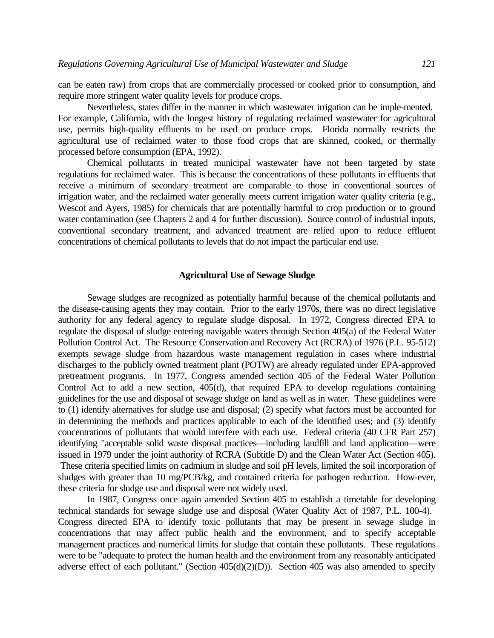can be eaten raw) from crops that are commercially processed or cooked prior to consumption, and require more stringent water quality levels for produce crops.

Nevertheless, states differ in the manner in which wastewater irrigation can be imple-mented. For example, California, with the longest history of regulating reclaimed wastewater for agricultural use, permits high-quality effluents to be used on produce crops. Florida normally restricts the agricultural use of reclaimed water to those food crops that are skinned, cooked, or thermally processed before consumption (EPA, 1992).

Chemical pollutants in treated municipal wastewater have not been targeted by state regulations for reclaimed water. This is because the concentrations of these pollutants in effluents that receive a minimum of secondary treatment are comparable to those in conventional sources of irrigation water, and the reclaimed water generally meets current irrigation water quality criteria (e.g., Wescot and Ayers, 1985) for chemicals that are potentially harmful to crop production or to ground water contamination (see Chapters 2 and 4 for further discussion). Source control of industrial inputs, conventional secondary treatment, and advanced treatment are relied upon to reduce effluent concentrations of chemical pollutants to levels that do not impact the particular end use.

# **Agricultural Use of Sewage Sludge**

Sewage sludges are recognized as potentially harmful because of the chemical pollutants and the disease-causing agents they may contain. Prior to the early 1970s, there was no direct legislative authority for any federal agency to regulate sludge disposal. In 1972, Congress directed EPA to regulate the disposal of sludge entering navigable waters through Section 405(a) of the Federal Water Pollution Control Act. The Resource Conservation and Recovery Act (RCRA) of 1976 (P.L. 95-512) exempts sewage sludge from hazardous waste management regulation in cases where industrial discharges to the publicly owned treatment plant (POTW) are already regulated under EPA-approved pretreatment programs. In 1977, Congress amended section 405 of the Federal Water Pollution Control Act to add a new section, 405(d), that required EPA to develop regulations containing guidelines for the use and disposal of sewage sludge on land as well as in water. These guidelines were to (1) identify alternatives for sludge use and disposal; (2) specify what factors must be accounted for in determining the methods and practices applicable to each of the identified uses; and (3) identify concentrations of pollutants that would interfere with each use. Federal criteria (40 CFR Part 257) identifying "acceptable solid waste disposal practices—including landfill and land application—were issued in 1979 under the joint authority of RCRA (Subtitle D) and the Clean Water Act (Section 405). These criteria specified limits on cadmium in sludge and soil pH levels, limited the soil incorporation of sludges with greater than 10 mg/PCB/kg, and contained criteria for pathogen reduction. How-ever, these criteria for sludge use and disposal were not widely used.

In 1987, Congress once again amended Section 405 to establish a timetable for developing technical standards for sewage sludge use and disposal (Water Quality Act of 1987, P.L. 100-4). Congress directed EPA to identify toxic pollutants that may be present in sewage sludge in concentrations that may affect public health and the environment, and to specify acceptable management practices and numerical limits for sludge that contain these pollutants. These regulations were to be "adequate to protect the human health and the environment from any reasonably anticipated adverse effect of each pollutant." (Section 405(d)(2)(D)). Section 405 was also amended to specify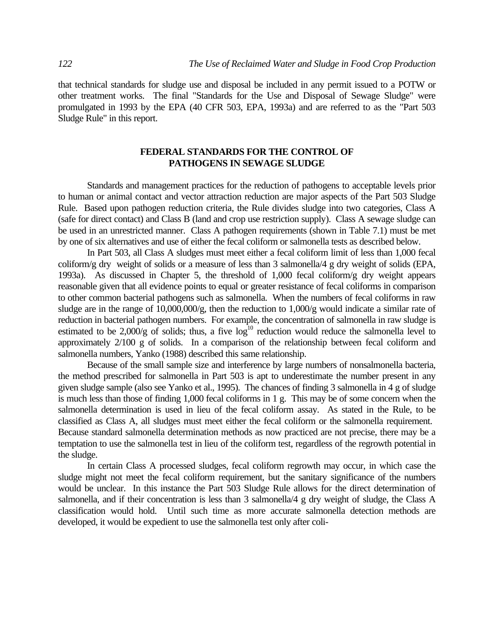that technical standards for sludge use and disposal be included in any permit issued to a POTW or other treatment works. The final "Standards for the Use and Disposal of Sewage Sludge" were promulgated in 1993 by the EPA (40 CFR 503, EPA, 1993a) and are referred to as the "Part 503 Sludge Rule" in this report.

# **FEDERAL STANDARDS FOR THE CONTROL OF PATHOGENS IN SEWAGE SLUDGE**

Standards and management practices for the reduction of pathogens to acceptable levels prior to human or animal contact and vector attraction reduction are major aspects of the Part 503 Sludge Rule. Based upon pathogen reduction criteria, the Rule divides sludge into two categories, Class A (safe for direct contact) and Class B (land and crop use restriction supply). Class A sewage sludge can be used in an unrestricted manner. Class A pathogen requirements (shown in Table 7.1) must be met by one of six alternatives and use of either the fecal coliform or salmonella tests as described below.

In Part 503, all Class A sludges must meet either a fecal coliform limit of less than 1,000 fecal coliform/g dry weight of solids or a measure of less than 3 salmonella/4 g dry weight of solids (EPA, 1993a). As discussed in Chapter 5, the threshold of 1,000 fecal coliform/g dry weight appears reasonable given that all evidence points to equal or greater resistance of fecal coliforms in comparison to other common bacterial pathogens such as salmonella. When the numbers of fecal coliforms in raw sludge are in the range of 10,000,000/g, then the reduction to  $1,000$ /g would indicate a similar rate of reduction in bacterial pathogen numbers. For example, the concentration of salmonella in raw sludge is estimated to be  $2,000/g$  of solids; thus, a five  $log<sup>10</sup>$  reduction would reduce the salmonella level to approximately 2/100 g of solids. In a comparison of the relationship between fecal coliform and salmonella numbers, Yanko (1988) described this same relationship.

Because of the small sample size and interference by large numbers of nonsalmonella bacteria, the method prescribed for salmonella in Part 503 is apt to underestimate the number present in any given sludge sample (also see Yanko et al., 1995). The chances of finding 3 salmonella in 4 g of sludge is much less than those of finding 1,000 fecal coliforms in 1 g. This may be of some concern when the salmonella determination is used in lieu of the fecal coliform assay. As stated in the Rule, to be classified as Class A, all sludges must meet either the fecal coliform or the salmonella requirement. Because standard salmonella determination methods as now practiced are not precise, there may be a temptation to use the salmonella test in lieu of the coliform test, regardless of the regrowth potential in the sludge.

In certain Class A processed sludges, fecal coliform regrowth may occur, in which case the sludge might not meet the fecal coliform requirement, but the sanitary significance of the numbers would be unclear. In this instance the Part 503 Sludge Rule allows for the direct determination of salmonella, and if their concentration is less than 3 salmonella/4 g dry weight of sludge, the Class A classification would hold. Until such time as more accurate salmonella detection methods are developed, it would be expedient to use the salmonella test only after coli-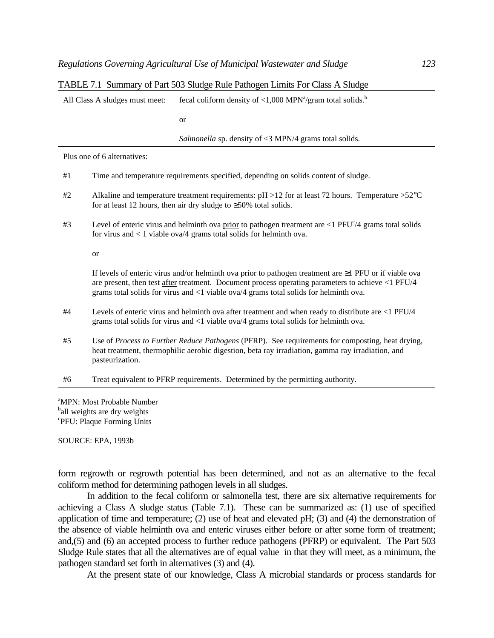# TABLE 7.1 Summary of Part 503 Sludge Rule Pathogen Limits For Class A Sludge

All Class A sludges must meet: fecal coliform density of <1,000 MPN<sup>a</sup>/gram total solids.<sup>b</sup>

or

*Salmonella* sp. density of <3 MPN/4 grams total solids.

Plus one of 6 alternatives:

- #1 Time and temperature requirements specified, depending on solids content of sludge.
- #2 Alkaline and temperature treatment requirements: pH >12 for at least 72 hours. Temperature >52°C for at least 12 hours, then air dry sludge to ≥50% total solids.
- #3 Level of enteric virus and helminth ova prior to pathogen treatment are <1 PFU°/4 grams total solids for virus and  $< 1$  viable ova/4 grams total solids for helminth ova.

or

If levels of enteric virus and/or helminth ova prior to pathogen treatment are ≥1 PFU or if viable ova are present, then test after treatment. Document process operating parameters to achieve <1 PFU/4 grams total solids for virus and <1 viable ova/4 grams total solids for helminth ova.

- #4 Levels of enteric virus and helminth ova after treatment and when ready to distribute are <1 PFU/4 grams total solids for virus and <1 viable ova/4 grams total solids for helminth ova.
- #5 Use of *Process to Further Reduce Pathogens* (PFRP). See requirements for composting, heat drying, heat treatment, thermophilic aerobic digestion, beta ray irradiation, gamma ray irradiation, and pasteurization.
- #6 Treat equivalent to PFRP requirements. Determined by the permitting authority.

<sup>a</sup>MPN: Most Probable Number <sup>b</sup>all weights are dry weights c PFU: Plaque Forming Units

SOURCE: EPA, 1993b

form regrowth or regrowth potential has been determined, and not as an alternative to the fecal coliform method for determining pathogen levels in all sludges.

In addition to the fecal coliform or salmonella test, there are six alternative requirements for achieving a Class A sludge status (Table 7.1). These can be summarized as: (1) use of specified application of time and temperature; (2) use of heat and elevated pH; (3) and (4) the demonstration of the absence of viable helminth ova and enteric viruses either before or after some form of treatment; and,(5) and (6) an accepted process to further reduce pathogens (PFRP) or equivalent. The Part 503 Sludge Rule states that all the alternatives are of equal value in that they will meet, as a minimum, the pathogen standard set forth in alternatives (3) and (4).

At the present state of our knowledge, Class A microbial standards or process standards for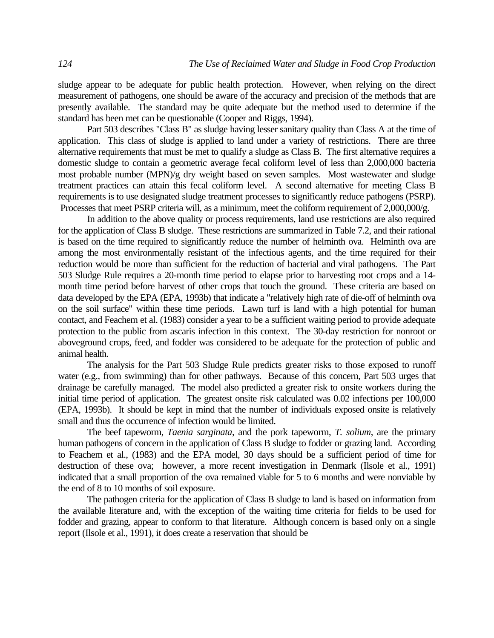sludge appear to be adequate for public health protection. However, when relying on the direct measurement of pathogens, one should be aware of the accuracy and precision of the methods that are presently available. The standard may be quite adequate but the method used to determine if the standard has been met can be questionable (Cooper and Riggs, 1994).

Part 503 describes "Class B" as sludge having lesser sanitary quality than Class A at the time of application. This class of sludge is applied to land under a variety of restrictions. There are three alternative requirements that must be met to qualify a sludge as Class B. The first alternative requires a domestic sludge to contain a geometric average fecal coliform level of less than 2,000,000 bacteria most probable number (MPN)/g dry weight based on seven samples. Most wastewater and sludge treatment practices can attain this fecal coliform level. A second alternative for meeting Class B requirements is to use designated sludge treatment processes to significantly reduce pathogens (PSRP). Processes that meet PSRP criteria will, as a minimum, meet the coliform requirement of 2,000,000/g.

In addition to the above quality or process requirements, land use restrictions are also required for the application of Class B sludge. These restrictions are summarized in Table 7.2, and their rational is based on the time required to significantly reduce the number of helminth ova. Helminth ova are among the most environmentally resistant of the infectious agents, and the time required for their reduction would be more than sufficient for the reduction of bacterial and viral pathogens. The Part 503 Sludge Rule requires a 20-month time period to elapse prior to harvesting root crops and a 14 month time period before harvest of other crops that touch the ground. These criteria are based on data developed by the EPA (EPA, 1993b) that indicate a "relatively high rate of die-off of helminth ova on the soil surface" within these time periods. Lawn turf is land with a high potential for human contact, and Feachem et al. (1983) consider a year to be a sufficient waiting period to provide adequate protection to the public from ascaris infection in this context. The 30-day restriction for nonroot or aboveground crops, feed, and fodder was considered to be adequate for the protection of public and animal health.

The analysis for the Part 503 Sludge Rule predicts greater risks to those exposed to runoff water (e.g., from swimming) than for other pathways. Because of this concern, Part 503 urges that drainage be carefully managed. The model also predicted a greater risk to onsite workers during the initial time period of application. The greatest onsite risk calculated was 0.02 infections per 100,000 (EPA, 1993b). It should be kept in mind that the number of individuals exposed onsite is relatively small and thus the occurrence of infection would be limited.

The beef tapeworm, *Taenia sarginata*, and the pork tapeworm, *T. solium*, are the primary human pathogens of concern in the application of Class B sludge to fodder or grazing land. According to Feachem et al., (1983) and the EPA model, 30 days should be a sufficient period of time for destruction of these ova; however, a more recent investigation in Denmark (Ilsole et al., 1991) indicated that a small proportion of the ova remained viable for 5 to 6 months and were nonviable by the end of 8 to 10 months of soil exposure.

The pathogen criteria for the application of Class B sludge to land is based on information from the available literature and, with the exception of the waiting time criteria for fields to be used for fodder and grazing, appear to conform to that literature. Although concern is based only on a single report (Ilsole et al., 1991), it does create a reservation that should be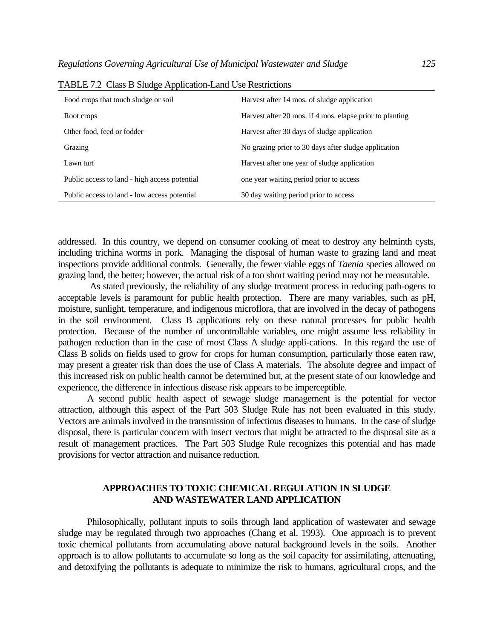| Food crops that touch sludge or soil          | Harvest after 14 mos. of sludge application              |
|-----------------------------------------------|----------------------------------------------------------|
| Root crops                                    | Harvest after 20 mos. if 4 mos. elapse prior to planting |
| Other food, feed or fodder                    | Harvest after 30 days of sludge application              |
| Grazing                                       | No grazing prior to 30 days after sludge application     |
| Lawn turf                                     | Harvest after one year of sludge application             |
| Public access to land - high access potential | one year waiting period prior to access                  |
| Public access to land - low access potential  | 30 day waiting period prior to access                    |

|  |  |  | TABLE 7.2 Class B Sludge Application-Land Use Restrictions |
|--|--|--|------------------------------------------------------------|
|  |  |  |                                                            |

addressed. In this country, we depend on consumer cooking of meat to destroy any helminth cysts, including trichina worms in pork. Managing the disposal of human waste to grazing land and meat inspections provide additional controls. Generally, the fewer viable eggs of *Taenia* species allowed on grazing land, the better; however, the actual risk of a too short waiting period may not be measurable.

 As stated previously, the reliability of any sludge treatment process in reducing path-ogens to acceptable levels is paramount for public health protection. There are many variables, such as pH, moisture, sunlight, temperature, and indigenous microflora, that are involved in the decay of pathogens in the soil environment. Class B applications rely on these natural processes for public health protection. Because of the number of uncontrollable variables, one might assume less reliability in pathogen reduction than in the case of most Class A sludge appli-cations. In this regard the use of Class B solids on fields used to grow for crops for human consumption, particularly those eaten raw, may present a greater risk than does the use of Class A materials. The absolute degree and impact of this increased risk on public health cannot be determined but, at the present state of our knowledge and experience, the difference in infectious disease risk appears to be imperceptible.

A second public health aspect of sewage sludge management is the potential for vector attraction, although this aspect of the Part 503 Sludge Rule has not been evaluated in this study. Vectors are animals involved in the transmission of infectious diseases to humans. In the case of sludge disposal, there is particular concern with insect vectors that might be attracted to the disposal site as a result of management practices. The Part 503 Sludge Rule recognizes this potential and has made provisions for vector attraction and nuisance reduction.

# **APPROACHES TO TOXIC CHEMICAL REGULATION IN SLUDGE AND WASTEWATER LAND APPLICATION**

Philosophically, pollutant inputs to soils through land application of wastewater and sewage sludge may be regulated through two approaches (Chang et al. 1993). One approach is to prevent toxic chemical pollutants from accumulating above natural background levels in the soils. Another approach is to allow pollutants to accumulate so long as the soil capacity for assimilating, attenuating, and detoxifying the pollutants is adequate to minimize the risk to humans, agricultural crops, and the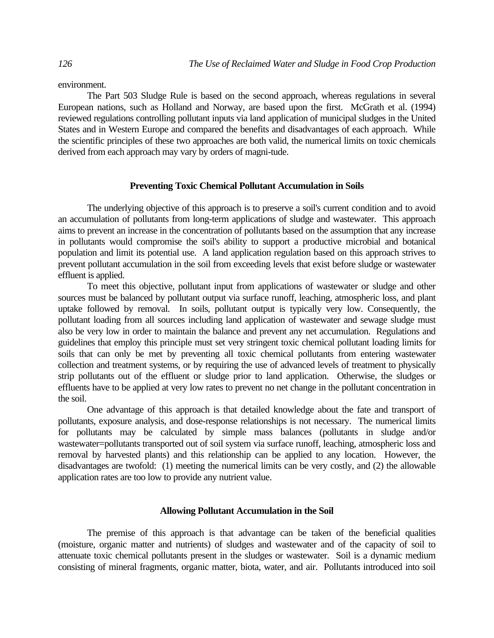environment.

The Part 503 Sludge Rule is based on the second approach, whereas regulations in several European nations, such as Holland and Norway, are based upon the first. McGrath et al. (1994) reviewed regulations controlling pollutant inputs via land application of municipal sludges in the United States and in Western Europe and compared the benefits and disadvantages of each approach. While the scientific principles of these two approaches are both valid, the numerical limits on toxic chemicals derived from each approach may vary by orders of magni-tude.

# **Preventing Toxic Chemical Pollutant Accumulation in Soils**

The underlying objective of this approach is to preserve a soil's current condition and to avoid an accumulation of pollutants from long-term applications of sludge and wastewater. This approach aims to prevent an increase in the concentration of pollutants based on the assumption that any increase in pollutants would compromise the soil's ability to support a productive microbial and botanical population and limit its potential use. A land application regulation based on this approach strives to prevent pollutant accumulation in the soil from exceeding levels that exist before sludge or wastewater effluent is applied.

To meet this objective, pollutant input from applications of wastewater or sludge and other sources must be balanced by pollutant output via surface runoff, leaching, atmospheric loss, and plant uptake followed by removal. In soils, pollutant output is typically very low. Consequently, the pollutant loading from all sources including land application of wastewater and sewage sludge must also be very low in order to maintain the balance and prevent any net accumulation. Regulations and guidelines that employ this principle must set very stringent toxic chemical pollutant loading limits for soils that can only be met by preventing all toxic chemical pollutants from entering wastewater collection and treatment systems, or by requiring the use of advanced levels of treatment to physically strip pollutants out of the effluent or sludge prior to land application. Otherwise, the sludges or effluents have to be applied at very low rates to prevent no net change in the pollutant concentration in the soil.

One advantage of this approach is that detailed knowledge about the fate and transport of pollutants, exposure analysis, and dose-response relationships is not necessary. The numerical limits for pollutants may be calculated by simple mass balances (pollutants in sludge and/or wastewater=pollutants transported out of soil system via surface runoff, leaching, atmospheric loss and removal by harvested plants) and this relationship can be applied to any location. However, the disadvantages are twofold: (1) meeting the numerical limits can be very costly, and (2) the allowable application rates are too low to provide any nutrient value.

# **Allowing Pollutant Accumulation in the Soil**

The premise of this approach is that advantage can be taken of the beneficial qualities (moisture, organic matter and nutrients) of sludges and wastewater and of the capacity of soil to attenuate toxic chemical pollutants present in the sludges or wastewater. Soil is a dynamic medium consisting of mineral fragments, organic matter, biota, water, and air. Pollutants introduced into soil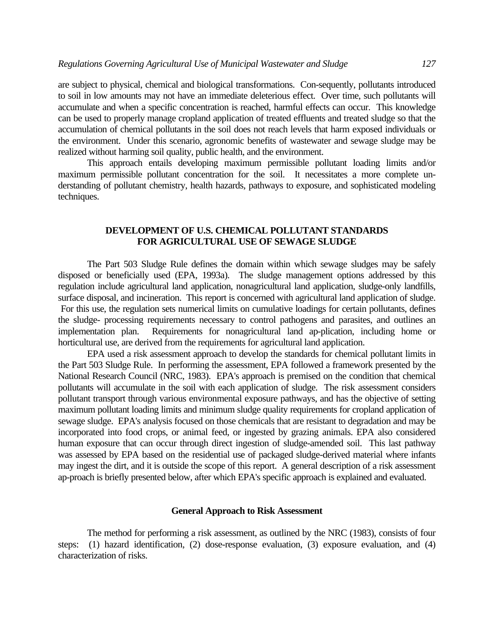are subject to physical, chemical and biological transformations. Con-sequently, pollutants introduced to soil in low amounts may not have an immediate deleterious effect. Over time, such pollutants will accumulate and when a specific concentration is reached, harmful effects can occur. This knowledge can be used to properly manage cropland application of treated effluents and treated sludge so that the accumulation of chemical pollutants in the soil does not reach levels that harm exposed individuals or the environment. Under this scenario, agronomic benefits of wastewater and sewage sludge may be realized without harming soil quality, public health, and the environment.

This approach entails developing maximum permissible pollutant loading limits and/or maximum permissible pollutant concentration for the soil. It necessitates a more complete understanding of pollutant chemistry, health hazards, pathways to exposure, and sophisticated modeling techniques.

# **DEVELOPMENT OF U.S. CHEMICAL POLLUTANT STANDARDS FOR AGRICULTURAL USE OF SEWAGE SLUDGE**

The Part 503 Sludge Rule defines the domain within which sewage sludges may be safely disposed or beneficially used (EPA, 1993a). The sludge management options addressed by this regulation include agricultural land application, nonagricultural land application, sludge-only landfills, surface disposal, and incineration. This report is concerned with agricultural land application of sludge. For this use, the regulation sets numerical limits on cumulative loadings for certain pollutants, defines the sludge- processing requirements necessary to control pathogens and parasites, and outlines an implementation plan. Requirements for nonagricultural land ap-plication, including home or horticultural use, are derived from the requirements for agricultural land application.

EPA used a risk assessment approach to develop the standards for chemical pollutant limits in the Part 503 Sludge Rule. In performing the assessment, EPA followed a framework presented by the National Research Council (NRC, 1983). EPA's approach is premised on the condition that chemical pollutants will accumulate in the soil with each application of sludge. The risk assessment considers pollutant transport through various environmental exposure pathways, and has the objective of setting maximum pollutant loading limits and minimum sludge quality requirements for cropland application of sewage sludge. EPA's analysis focused on those chemicals that are resistant to degradation and may be incorporated into food crops, or animal feed, or ingested by grazing animals. EPA also considered human exposure that can occur through direct ingestion of sludge-amended soil. This last pathway was assessed by EPA based on the residential use of packaged sludge-derived material where infants may ingest the dirt, and it is outside the scope of this report. A general description of a risk assessment ap-proach is briefly presented below, after which EPA's specific approach is explained and evaluated.

# **General Approach to Risk Assessment**

The method for performing a risk assessment, as outlined by the NRC (1983), consists of four steps: (1) hazard identification, (2) dose-response evaluation, (3) exposure evaluation, and (4) characterization of risks.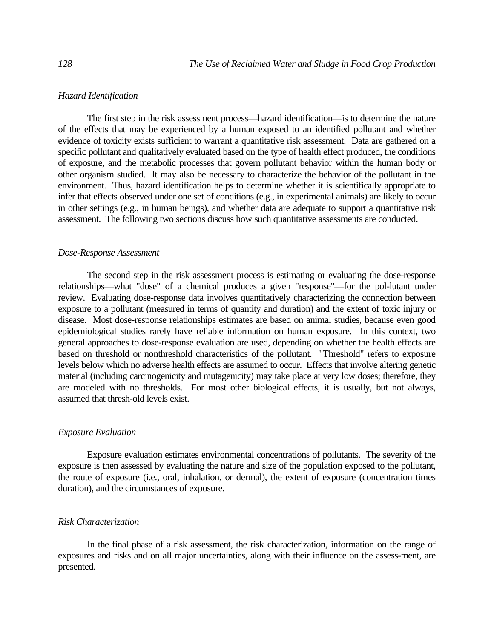# *Hazard Identification*

The first step in the risk assessment process—hazard identification—is to determine the nature of the effects that may be experienced by a human exposed to an identified pollutant and whether evidence of toxicity exists sufficient to warrant a quantitative risk assessment. Data are gathered on a specific pollutant and qualitatively evaluated based on the type of health effect produced, the conditions of exposure, and the metabolic processes that govern pollutant behavior within the human body or other organism studied. It may also be necessary to characterize the behavior of the pollutant in the environment. Thus, hazard identification helps to determine whether it is scientifically appropriate to infer that effects observed under one set of conditions (e.g., in experimental animals) are likely to occur in other settings (e.g., in human beings), and whether data are adequate to support a quantitative risk assessment. The following two sections discuss how such quantitative assessments are conducted.

#### *Dose-Response Assessment*

The second step in the risk assessment process is estimating or evaluating the dose-response relationships—what "dose" of a chemical produces a given "response"—for the pol-lutant under review. Evaluating dose-response data involves quantitatively characterizing the connection between exposure to a pollutant (measured in terms of quantity and duration) and the extent of toxic injury or disease. Most dose-response relationships estimates are based on animal studies, because even good epidemiological studies rarely have reliable information on human exposure. In this context, two general approaches to dose-response evaluation are used, depending on whether the health effects are based on threshold or nonthreshold characteristics of the pollutant. "Threshold" refers to exposure levels below which no adverse health effects are assumed to occur. Effects that involve altering genetic material (including carcinogenicity and mutagenicity) may take place at very low doses; therefore, they are modeled with no thresholds. For most other biological effects, it is usually, but not always, assumed that thresh-old levels exist.

## *Exposure Evaluation*

Exposure evaluation estimates environmental concentrations of pollutants. The severity of the exposure is then assessed by evaluating the nature and size of the population exposed to the pollutant, the route of exposure (i.e., oral, inhalation, or dermal), the extent of exposure (concentration times duration), and the circumstances of exposure.

### *Risk Characterization*

In the final phase of a risk assessment, the risk characterization, information on the range of exposures and risks and on all major uncertainties, along with their influence on the assess-ment, are presented.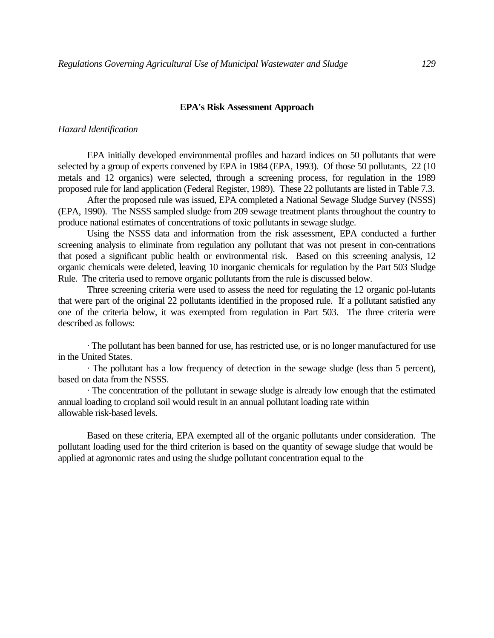# **EPA's Risk Assessment Approach**

#### *Hazard Identification*

EPA initially developed environmental profiles and hazard indices on 50 pollutants that were selected by a group of experts convened by EPA in 1984 (EPA, 1993). Of those 50 pollutants, 22 (10 metals and 12 organics) were selected, through a screening process, for regulation in the 1989 proposed rule for land application (Federal Register, 1989). These 22 pollutants are listed in Table 7.3.

After the proposed rule was issued, EPA completed a National Sewage Sludge Survey (NSSS) (EPA, 1990). The NSSS sampled sludge from 209 sewage treatment plants throughout the country to produce national estimates of concentrations of toxic pollutants in sewage sludge.

Using the NSSS data and information from the risk assessment, EPA conducted a further screening analysis to eliminate from regulation any pollutant that was not present in con-centrations that posed a significant public health or environmental risk. Based on this screening analysis, 12 organic chemicals were deleted, leaving 10 inorganic chemicals for regulation by the Part 503 Sludge Rule. The criteria used to remove organic pollutants from the rule is discussed below.

Three screening criteria were used to assess the need for regulating the 12 organic pol-lutants that were part of the original 22 pollutants identified in the proposed rule. If a pollutant satisfied any one of the criteria below, it was exempted from regulation in Part 503. The three criteria were described as follows:

· The pollutant has been banned for use, has restricted use, or is no longer manufactured for use in the United States.

· The pollutant has a low frequency of detection in the sewage sludge (less than 5 percent), based on data from the NSSS.

· The concentration of the pollutant in sewage sludge is already low enough that the estimated annual loading to cropland soil would result in an annual pollutant loading rate within allowable risk-based levels.

Based on these criteria, EPA exempted all of the organic pollutants under consideration. The pollutant loading used for the third criterion is based on the quantity of sewage sludge that would be applied at agronomic rates and using the sludge pollutant concentration equal to the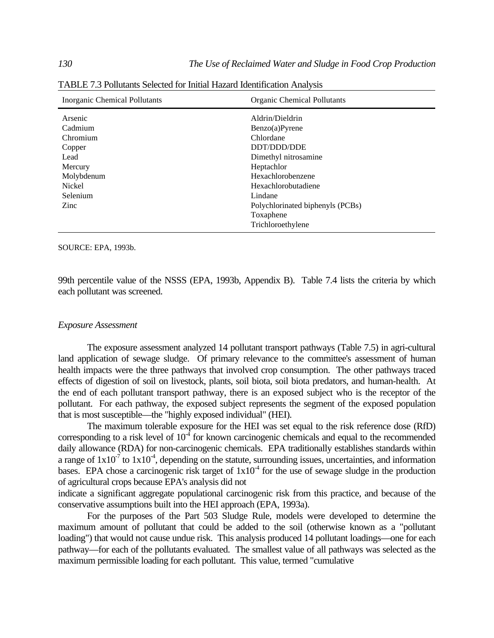| Inorganic Chemical Pollutants                                                                           | Organic Chemical Pollutants                                                                                                                                                                                 |
|---------------------------------------------------------------------------------------------------------|-------------------------------------------------------------------------------------------------------------------------------------------------------------------------------------------------------------|
| Arsenic<br>Cadmium<br>Chromium<br>Copper<br>Lead<br>Mercury<br>Molybdenum<br>Nickel<br>Selenium<br>Zinc | Aldrin/Dieldrin<br>Benzo(a)Pyrene<br>Chlordane<br>DDT/DDD/DDE<br>Dimethyl nitrosamine<br>Heptachlor<br>Hexachlorobenzene<br>Hexachlorobutadiene<br>Lindane<br>Polychlorinated biphenyls (PCBs)<br>Toxaphene |
|                                                                                                         | Trichloroethylene                                                                                                                                                                                           |

TABLE 7.3 Pollutants Selected for Initial Hazard Identification Analysis

SOURCE: EPA, 1993b.

99th percentile value of the NSSS (EPA, 1993b, Appendix B). Table 7.4 lists the criteria by which each pollutant was screened.

# *Exposure Assessment*

The exposure assessment analyzed 14 pollutant transport pathways (Table 7.5) in agri-cultural land application of sewage sludge. Of primary relevance to the committee's assessment of human health impacts were the three pathways that involved crop consumption. The other pathways traced effects of digestion of soil on livestock, plants, soil biota, soil biota predators, and human-health. At the end of each pollutant transport pathway, there is an exposed subject who is the receptor of the pollutant. For each pathway, the exposed subject represents the segment of the exposed population that is most susceptible—the "highly exposed individual" (HEI).

The maximum tolerable exposure for the HEI was set equal to the risk reference dose (RfD) corresponding to a risk level of  $10<sup>4</sup>$  for known carcinogenic chemicals and equal to the recommended daily allowance (RDA) for non-carcinogenic chemicals. EPA traditionally establishes standards within a range of  $1x10^{-7}$  to  $1x10^{-4}$ , depending on the statute, surrounding issues, uncertainties, and information bases. EPA chose a carcinogenic risk target of  $1x10<sup>4</sup>$  for the use of sewage sludge in the production of agricultural crops because EPA's analysis did not

indicate a significant aggregate populational carcinogenic risk from this practice, and because of the conservative assumptions built into the HEI approach (EPA, 1993a).

For the purposes of the Part 503 Sludge Rule, models were developed to determine the maximum amount of pollutant that could be added to the soil (otherwise known as a "pollutant loading") that would not cause undue risk. This analysis produced 14 pollutant loadings—one for each pathway—for each of the pollutants evaluated. The smallest value of all pathways was selected as the maximum permissible loading for each pollutant. This value, termed "cumulative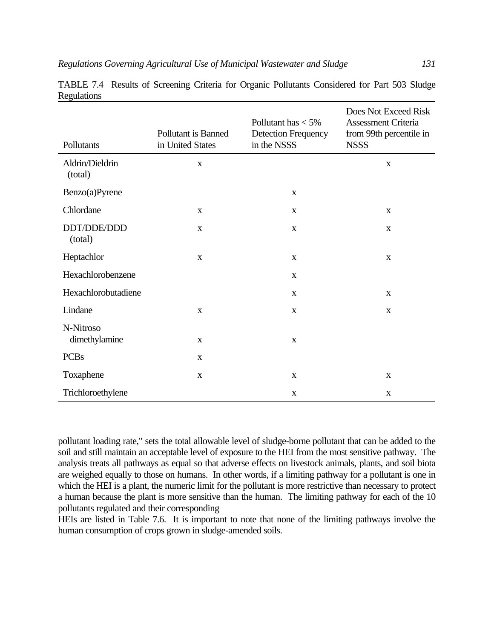| Pollutants                 | Pollutant is Banned<br>in United States | Pollutant has $<$ 5%<br><b>Detection Frequency</b><br>in the NSSS | Does Not Exceed Risk<br><b>Assessment Criteria</b><br>from 99th percentile in<br><b>NSSS</b> |
|----------------------------|-----------------------------------------|-------------------------------------------------------------------|----------------------------------------------------------------------------------------------|
| Aldrin/Dieldrin<br>(total) | $\mathbf{X}$                            |                                                                   | $\mathbf{X}$                                                                                 |
| Benzo(a)Pyrene             |                                         | $\mathbf X$                                                       |                                                                                              |
| Chlordane                  | X                                       | X                                                                 | $\mathbf{X}$                                                                                 |
| DDT/DDE/DDD<br>(total)     | $\mathbf{X}$                            | $\mathbf X$                                                       | $\mathbf{X}$                                                                                 |
| Heptachlor                 | $\mathbf X$                             | X                                                                 | $\mathbf{X}$                                                                                 |
| Hexachlorobenzene          |                                         | X                                                                 |                                                                                              |
| Hexachlorobutadiene        |                                         | X                                                                 | $\mathbf{X}$                                                                                 |
| Lindane                    | X                                       | $\mathbf X$                                                       | $\mathbf X$                                                                                  |
| N-Nitroso<br>dimethylamine | $\mathbf{X}$                            | X                                                                 |                                                                                              |
| <b>PCBs</b>                | X                                       |                                                                   |                                                                                              |
| Toxaphene                  | $\mathbf X$                             | $\mathbf X$                                                       | $\mathbf X$                                                                                  |
| Trichloroethylene          |                                         | X                                                                 | $\mathbf X$                                                                                  |

TABLE 7.4 Results of Screening Criteria for Organic Pollutants Considered for Part 503 Sludge Regulations

pollutant loading rate," sets the total allowable level of sludge-borne pollutant that can be added to the soil and still maintain an acceptable level of exposure to the HEI from the most sensitive pathway. The analysis treats all pathways as equal so that adverse effects on livestock animals, plants, and soil biota are weighed equally to those on humans. In other words, if a limiting pathway for a pollutant is one in which the HEI is a plant, the numeric limit for the pollutant is more restrictive than necessary to protect a human because the plant is more sensitive than the human. The limiting pathway for each of the 10 pollutants regulated and their corresponding

HEIs are listed in Table 7.6. It is important to note that none of the limiting pathways involve the human consumption of crops grown in sludge-amended soils.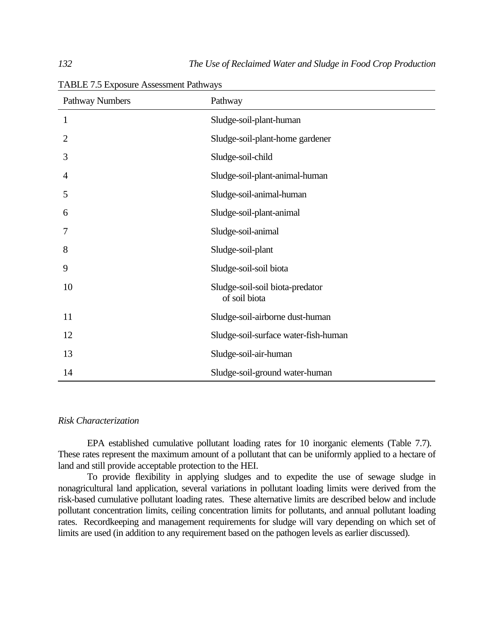| Pathway Numbers | Pathway                                          |
|-----------------|--------------------------------------------------|
| $\mathbf{1}$    | Sludge-soil-plant-human                          |
| $\overline{2}$  | Sludge-soil-plant-home gardener                  |
| 3               | Sludge-soil-child                                |
| $\overline{4}$  | Sludge-soil-plant-animal-human                   |
| 5               | Sludge-soil-animal-human                         |
| 6               | Sludge-soil-plant-animal                         |
| 7               | Sludge-soil-animal                               |
| 8               | Sludge-soil-plant                                |
| 9               | Sludge-soil-soil biota                           |
| 10              | Sludge-soil-soil biota-predator<br>of soil biota |
| 11              | Sludge-soil-airborne dust-human                  |
| 12              | Sludge-soil-surface water-fish-human             |
| 13              | Sludge-soil-air-human                            |
| 14              | Sludge-soil-ground water-human                   |

TABLE 7.5 Exposure Assessment Pathways

# *Risk Characterization*

EPA established cumulative pollutant loading rates for 10 inorganic elements (Table 7.7). These rates represent the maximum amount of a pollutant that can be uniformly applied to a hectare of land and still provide acceptable protection to the HEI.

To provide flexibility in applying sludges and to expedite the use of sewage sludge in nonagricultural land application, several variations in pollutant loading limits were derived from the risk-based cumulative pollutant loading rates. These alternative limits are described below and include pollutant concentration limits, ceiling concentration limits for pollutants, and annual pollutant loading rates. Recordkeeping and management requirements for sludge will vary depending on which set of limits are used (in addition to any requirement based on the pathogen levels as earlier discussed).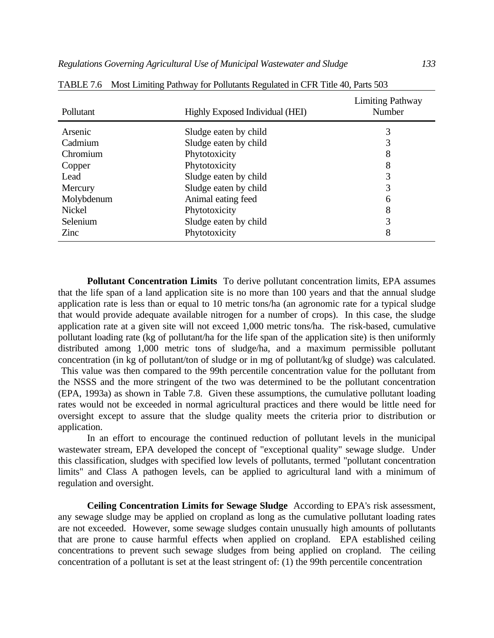| <b>Pollutant</b> | Highly Exposed Individual (HEI) | <b>Limiting Pathway</b><br>Number |
|------------------|---------------------------------|-----------------------------------|
| Arsenic          | Sludge eaten by child           | 3                                 |
| Cadmium          | Sludge eaten by child           |                                   |
| Chromium         | Phytotoxicity                   | 8                                 |
| Copper           | Phytotoxicity                   | 8                                 |
| Lead             | Sludge eaten by child           | 3                                 |
| Mercury          | Sludge eaten by child           | 3                                 |
| Molybdenum       | Animal eating feed              | 6                                 |
| <b>Nickel</b>    | Phytotoxicity                   | 8                                 |
| Selenium         | Sludge eaten by child           | 3                                 |
| Zinc             | Phytotoxicity                   | 8                                 |

TABLE 7.6 Most Limiting Pathway for Pollutants Regulated in CFR Title 40, Parts 503

**Pollutant Concentration Limits** To derive pollutant concentration limits, EPA assumes that the life span of a land application site is no more than 100 years and that the annual sludge application rate is less than or equal to 10 metric tons/ha (an agronomic rate for a typical sludge that would provide adequate available nitrogen for a number of crops). In this case, the sludge application rate at a given site will not exceed 1,000 metric tons/ha. The risk-based, cumulative pollutant loading rate (kg of pollutant/ha for the life span of the application site) is then uniformly distributed among 1,000 metric tons of sludge/ha, and a maximum permissible pollutant concentration (in kg of pollutant/ton of sludge or in mg of pollutant/kg of sludge) was calculated. This value was then compared to the 99th percentile concentration value for the pollutant from the NSSS and the more stringent of the two was determined to be the pollutant concentration (EPA, 1993a) as shown in Table 7.8. Given these assumptions, the cumulative pollutant loading rates would not be exceeded in normal agricultural practices and there would be little need for oversight except to assure that the sludge quality meets the criteria prior to distribution or application.

In an effort to encourage the continued reduction of pollutant levels in the municipal wastewater stream, EPA developed the concept of "exceptional quality" sewage sludge. Under this classification, sludges with specified low levels of pollutants, termed "pollutant concentration limits" and Class A pathogen levels, can be applied to agricultural land with a minimum of regulation and oversight.

**Ceiling Concentration Limits for Sewage Sludge** According to EPA's risk assessment, any sewage sludge may be applied on cropland as long as the cumulative pollutant loading rates are not exceeded. However, some sewage sludges contain unusually high amounts of pollutants that are prone to cause harmful effects when applied on cropland. EPA established ceiling concentrations to prevent such sewage sludges from being applied on cropland. The ceiling concentration of a pollutant is set at the least stringent of: (1) the 99th percentile concentration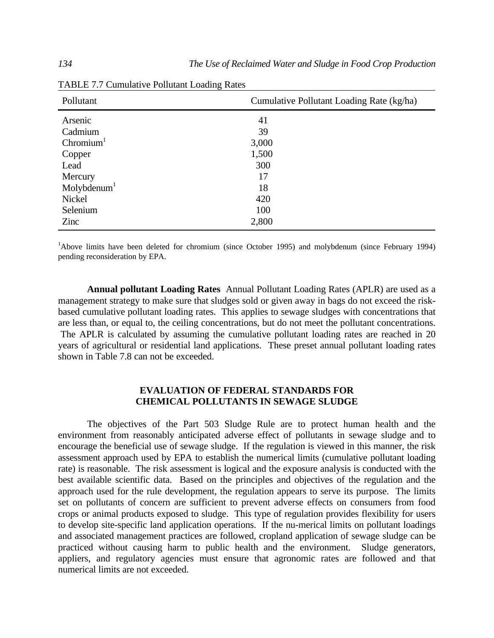| Pollutant               | Cumulative Pollutant Loading Rate (kg/ha) |
|-------------------------|-------------------------------------------|
| Arsenic                 | 41                                        |
| Cadmium                 | 39                                        |
| Chromium <sup>1</sup>   | 3,000                                     |
| Copper                  | 1,500                                     |
| Lead                    | 300                                       |
| Mercury                 | 17                                        |
| Molybdenum <sup>1</sup> | 18                                        |
| Nickel                  | 420                                       |
| Selenium                | 100                                       |
| Zinc                    | 2,800                                     |

TABLE 7.7 Cumulative Pollutant Loading Rates

<sup>1</sup>Above limits have been deleted for chromium (since October 1995) and molybdenum (since February 1994) pending reconsideration by EPA.

**Annual pollutant Loading Rates** Annual Pollutant Loading Rates (APLR) are used as a management strategy to make sure that sludges sold or given away in bags do not exceed the riskbased cumulative pollutant loading rates. This applies to sewage sludges with concentrations that are less than, or equal to, the ceiling concentrations, but do not meet the pollutant concentrations. The APLR is calculated by assuming the cumulative pollutant loading rates are reached in 20 years of agricultural or residential land applications. These preset annual pollutant loading rates shown in Table 7.8 can not be exceeded.

# **EVALUATION OF FEDERAL STANDARDS FOR CHEMICAL POLLUTANTS IN SEWAGE SLUDGE**

The objectives of the Part 503 Sludge Rule are to protect human health and the environment from reasonably anticipated adverse effect of pollutants in sewage sludge and to encourage the beneficial use of sewage sludge. If the regulation is viewed in this manner, the risk assessment approach used by EPA to establish the numerical limits (cumulative pollutant loading rate) is reasonable. The risk assessment is logical and the exposure analysis is conducted with the best available scientific data. Based on the principles and objectives of the regulation and the approach used for the rule development, the regulation appears to serve its purpose. The limits set on pollutants of concern are sufficient to prevent adverse effects on consumers from food crops or animal products exposed to sludge. This type of regulation provides flexibility for users to develop site-specific land application operations. If the nu-merical limits on pollutant loadings and associated management practices are followed, cropland application of sewage sludge can be practiced without causing harm to public health and the environment. Sludge generators, appliers, and regulatory agencies must ensure that agronomic rates are followed and that numerical limits are not exceeded.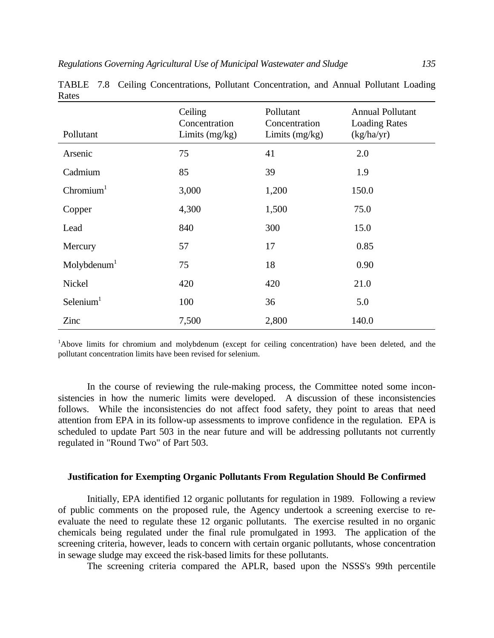| Pollutant               | Ceiling<br>Concentration<br>Limits $(mg/kg)$ | Pollutant<br>Concentration<br>Limits $(mg/kg)$ | <b>Annual Pollutant</b><br><b>Loading Rates</b><br>(kg/ha/yr) |
|-------------------------|----------------------------------------------|------------------------------------------------|---------------------------------------------------------------|
| Arsenic                 | 75                                           | 41                                             | 2.0                                                           |
| Cadmium                 | 85                                           | 39                                             | 1.9                                                           |
| Chromium <sup>1</sup>   | 3,000                                        | 1,200                                          | 150.0                                                         |
| Copper                  | 4,300                                        | 1,500                                          | 75.0                                                          |
| Lead                    | 840                                          | 300                                            | 15.0                                                          |
| Mercury                 | 57                                           | 17                                             | 0.85                                                          |
| Molybdenum <sup>1</sup> | 75                                           | 18                                             | 0.90                                                          |
| Nickel                  | 420                                          | 420                                            | 21.0                                                          |
| Selenium <sup>1</sup>   | 100                                          | 36                                             | 5.0                                                           |
| Zinc                    | 7,500                                        | 2,800                                          | 140.0                                                         |

TABLE 7.8 Ceiling Concentrations, Pollutant Concentration, and Annual Pollutant Loading Rates

<sup>1</sup>Above limits for chromium and molybdenum (except for ceiling concentration) have been deleted, and the pollutant concentration limits have been revised for selenium.

In the course of reviewing the rule-making process, the Committee noted some inconsistencies in how the numeric limits were developed. A discussion of these inconsistencies follows. While the inconsistencies do not affect food safety, they point to areas that need attention from EPA in its follow-up assessments to improve confidence in the regulation. EPA is scheduled to update Part 503 in the near future and will be addressing pollutants not currently regulated in "Round Two" of Part 503.

# **Justification for Exempting Organic Pollutants From Regulation Should Be Confirmed**

Initially, EPA identified 12 organic pollutants for regulation in 1989. Following a review of public comments on the proposed rule, the Agency undertook a screening exercise to reevaluate the need to regulate these 12 organic pollutants. The exercise resulted in no organic chemicals being regulated under the final rule promulgated in 1993. The application of the screening criteria, however, leads to concern with certain organic pollutants, whose concentration in sewage sludge may exceed the risk-based limits for these pollutants.

The screening criteria compared the APLR, based upon the NSSS's 99th percentile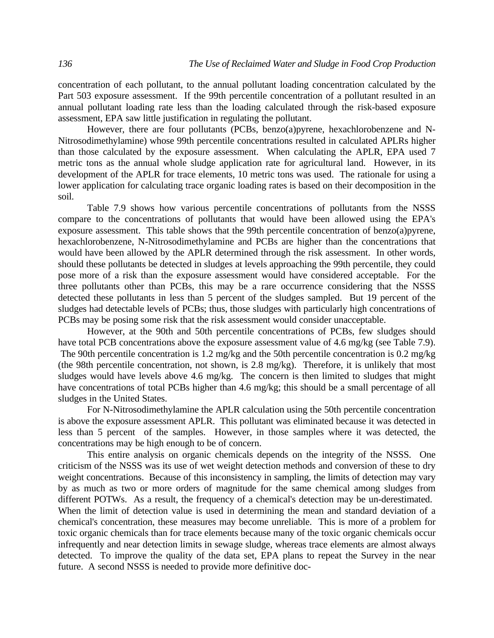concentration of each pollutant, to the annual pollutant loading concentration calculated by the Part 503 exposure assessment. If the 99th percentile concentration of a pollutant resulted in an annual pollutant loading rate less than the loading calculated through the risk-based exposure assessment, EPA saw little justification in regulating the pollutant.

However, there are four pollutants (PCBs, benzo(a)pyrene, hexachlorobenzene and N-Nitrosodimethylamine) whose 99th percentile concentrations resulted in calculated APLRs higher than those calculated by the exposure assessment. When calculating the APLR, EPA used 7 metric tons as the annual whole sludge application rate for agricultural land. However, in its development of the APLR for trace elements, 10 metric tons was used. The rationale for using a lower application for calculating trace organic loading rates is based on their decomposition in the soil.

Table 7.9 shows how various percentile concentrations of pollutants from the NSSS compare to the concentrations of pollutants that would have been allowed using the EPA's exposure assessment. This table shows that the 99th percentile concentration of benzo(a)pyrene, hexachlorobenzene, N-Nitrosodimethylamine and PCBs are higher than the concentrations that would have been allowed by the APLR determined through the risk assessment. In other words, should these pollutants be detected in sludges at levels approaching the 99th percentile, they could pose more of a risk than the exposure assessment would have considered acceptable. For the three pollutants other than PCBs, this may be a rare occurrence considering that the NSSS detected these pollutants in less than 5 percent of the sludges sampled. But 19 percent of the sludges had detectable levels of PCBs; thus, those sludges with particularly high concentrations of PCBs may be posing some risk that the risk assessment would consider unacceptable.

However, at the 90th and 50th percentile concentrations of PCBs, few sludges should have total PCB concentrations above the exposure assessment value of 4.6 mg/kg (see Table 7.9). The 90th percentile concentration is 1.2 mg/kg and the 50th percentile concentration is 0.2 mg/kg (the 98th percentile concentration, not shown, is 2.8 mg/kg). Therefore, it is unlikely that most sludges would have levels above 4.6 mg/kg. The concern is then limited to sludges that might have concentrations of total PCBs higher than 4.6 mg/kg; this should be a small percentage of all sludges in the United States.

For N-Nitrosodimethylamine the APLR calculation using the 50th percentile concentration is above the exposure assessment APLR. This pollutant was eliminated because it was detected in less than 5 percent of the samples. However, in those samples where it was detected, the concentrations may be high enough to be of concern.

This entire analysis on organic chemicals depends on the integrity of the NSSS. One criticism of the NSSS was its use of wet weight detection methods and conversion of these to dry weight concentrations. Because of this inconsistency in sampling, the limits of detection may vary by as much as two or more orders of magnitude for the same chemical among sludges from different POTWs. As a result, the frequency of a chemical's detection may be un-derestimated.

When the limit of detection value is used in determining the mean and standard deviation of a chemical's concentration, these measures may become unreliable. This is more of a problem for toxic organic chemicals than for trace elements because many of the toxic organic chemicals occur infrequently and near detection limits in sewage sludge, whereas trace elements are almost always detected. To improve the quality of the data set, EPA plans to repeat the Survey in the near future. A second NSSS is needed to provide more definitive doc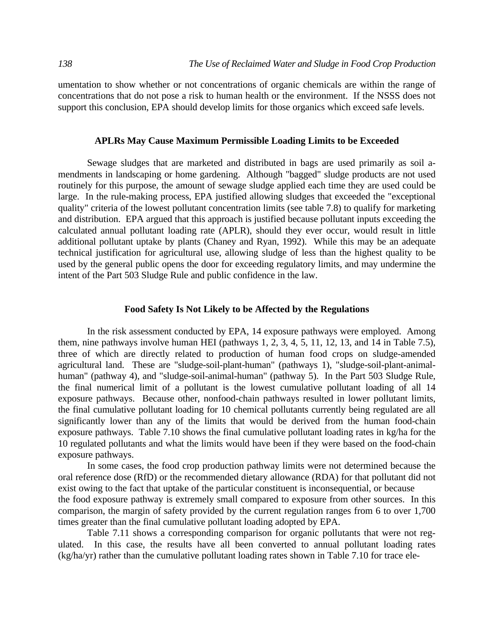umentation to show whether or not concentrations of organic chemicals are within the range of concentrations that do not pose a risk to human health or the environment. If the NSSS does not support this conclusion, EPA should develop limits for those organics which exceed safe levels.

# **APLRs May Cause Maximum Permissible Loading Limits to be Exceeded**

Sewage sludges that are marketed and distributed in bags are used primarily as soil amendments in landscaping or home gardening. Although "bagged" sludge products are not used routinely for this purpose, the amount of sewage sludge applied each time they are used could be large. In the rule-making process, EPA justified allowing sludges that exceeded the "exceptional quality" criteria of the lowest pollutant concentration limits (see table 7.8) to qualify for marketing and distribution. EPA argued that this approach is justified because pollutant inputs exceeding the calculated annual pollutant loading rate (APLR), should they ever occur, would result in little additional pollutant uptake by plants (Chaney and Ryan, 1992). While this may be an adequate technical justification for agricultural use, allowing sludge of less than the highest quality to be used by the general public opens the door for exceeding regulatory limits, and may undermine the intent of the Part 503 Sludge Rule and public confidence in the law.

# **Food Safety Is Not Likely to be Affected by the Regulations**

In the risk assessment conducted by EPA, 14 exposure pathways were employed. Among them, nine pathways involve human HEI (pathways  $1, 2, 3, 4, 5, 11, 12, 13$ , and  $14$  in Table 7.5), three of which are directly related to production of human food crops on sludge-amended agricultural land. These are "sludge-soil-plant-human" (pathways 1), "sludge-soil-plant-animalhuman" (pathway 4), and "sludge-soil-animal-human" (pathway 5). In the Part 503 Sludge Rule, the final numerical limit of a pollutant is the lowest cumulative pollutant loading of all 14 exposure pathways. Because other, nonfood-chain pathways resulted in lower pollutant limits, the final cumulative pollutant loading for 10 chemical pollutants currently being regulated are all significantly lower than any of the limits that would be derived from the human food-chain exposure pathways. Table 7.10 shows the final cumulative pollutant loading rates in kg/ha for the 10 regulated pollutants and what the limits would have been if they were based on the food-chain exposure pathways.

In some cases, the food crop production pathway limits were not determined because the oral reference dose (RfD) or the recommended dietary allowance (RDA) for that pollutant did not exist owing to the fact that uptake of the particular constituent is inconsequential, or because the food exposure pathway is extremely small compared to exposure from other sources. In this comparison, the margin of safety provided by the current regulation ranges from 6 to over 1,700 times greater than the final cumulative pollutant loading adopted by EPA.

Table 7.11 shows a corresponding comparison for organic pollutants that were not regulated. In this case, the results have all been converted to annual pollutant loading rates (kg/ha/yr) rather than the cumulative pollutant loading rates shown in Table 7.10 for trace ele-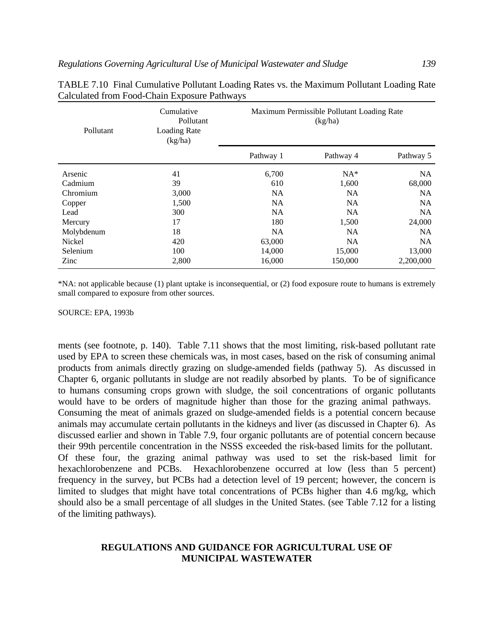| Pollutant  | Cumulative<br>Pollutant<br>Loading Rate<br>(kg/ha) | Maximum Permissible Pollutant Loading Rate<br>(kg/ha) |           |           |  |
|------------|----------------------------------------------------|-------------------------------------------------------|-----------|-----------|--|
|            |                                                    | Pathway 1                                             | Pathway 4 | Pathway 5 |  |
| Arsenic    | 41                                                 | 6,700                                                 | $NA*$     | <b>NA</b> |  |
| Cadmium    | 39                                                 | 610                                                   | 1,600     | 68,000    |  |
| Chromium   | 3,000                                              | <b>NA</b>                                             | <b>NA</b> | <b>NA</b> |  |
| Copper     | 1,500                                              | <b>NA</b>                                             | <b>NA</b> | <b>NA</b> |  |
| Lead       | 300                                                | <b>NA</b>                                             | <b>NA</b> | <b>NA</b> |  |
| Mercury    | 17                                                 | 180                                                   | 1,500     | 24,000    |  |
| Molybdenum | 18                                                 | <b>NA</b>                                             | <b>NA</b> | <b>NA</b> |  |
| Nickel     | 420                                                | 63,000                                                | <b>NA</b> | <b>NA</b> |  |
| Selenium   | 100                                                | 14,000                                                | 15,000    | 13,000    |  |
| Zinc       | 2,800                                              | 16,000                                                | 150,000   | 2,200,000 |  |

TABLE 7.10 Final Cumulative Pollutant Loading Rates vs. the Maximum Pollutant Loading Rate Calculated from Food-Chain Exposure Pathways

\*NA: not applicable because (1) plant uptake is inconsequential, or (2) food exposure route to humans is extremely small compared to exposure from other sources.

#### SOURCE: EPA, 1993b

ments (see footnote, p. 140). Table 7.11 shows that the most limiting, risk-based pollutant rate used by EPA to screen these chemicals was, in most cases, based on the risk of consuming animal products from animals directly grazing on sludge-amended fields (pathway 5). As discussed in Chapter 6, organic pollutants in sludge are not readily absorbed by plants. To be of significance to humans consuming crops grown with sludge, the soil concentrations of organic pollutants would have to be orders of magnitude higher than those for the grazing animal pathways. Consuming the meat of animals grazed on sludge-amended fields is a potential concern because animals may accumulate certain pollutants in the kidneys and liver (as discussed in Chapter 6). As discussed earlier and shown in Table 7.9, four organic pollutants are of potential concern because their 99th percentile concentration in the NSSS exceeded the risk-based limits for the pollutant. Of these four, the grazing animal pathway was used to set the risk-based limit for hexachlorobenzene and PCBs. Hexachlorobenzene occurred at low (less than 5 percent) frequency in the survey, but PCBs had a detection level of 19 percent; however, the concern is limited to sludges that might have total concentrations of PCBs higher than 4.6 mg/kg, which should also be a small percentage of all sludges in the United States. (see Table 7.12 for a listing of the limiting pathways).

# **REGULATIONS AND GUIDANCE FOR AGRICULTURAL USE OF MUNICIPAL WASTEWATER**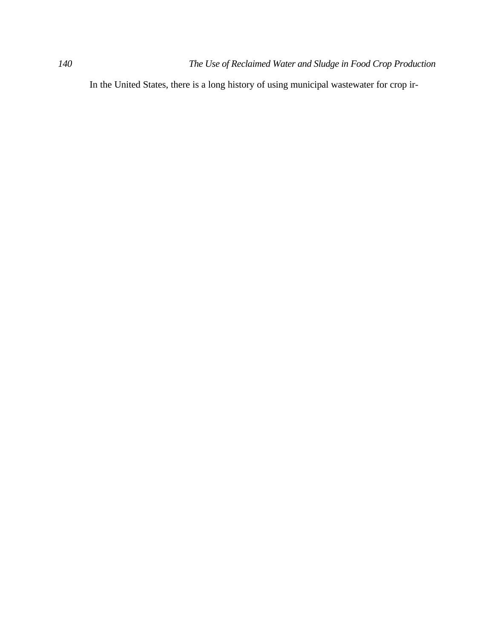In the United States, there is a long history of using municipal wastewater for crop ir-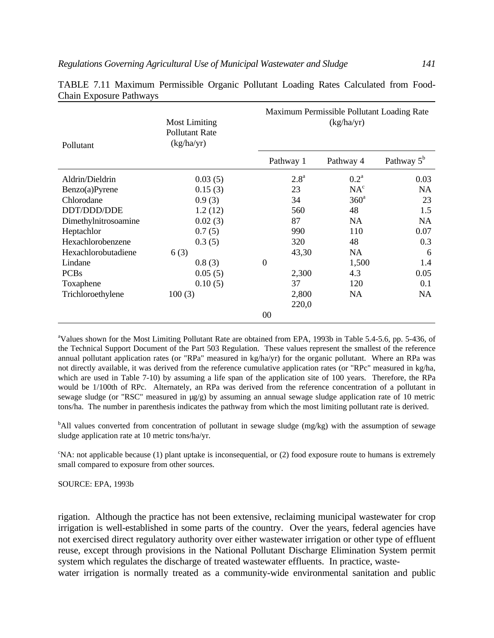| Pollutant            | <b>Most Limiting</b><br><b>Pollutant Rate</b><br>(kg/ha/yr) | Maximum Permissible Pollutant Loading Rate<br>(kg/ha/yr) |                  |                  |               |
|----------------------|-------------------------------------------------------------|----------------------------------------------------------|------------------|------------------|---------------|
|                      |                                                             |                                                          | Pathway 1        | Pathway 4        | Pathway $5^b$ |
| Aldrin/Dieldrin      | 0.03(5)                                                     |                                                          | 2.8 <sup>a</sup> | $0.2^{\text{a}}$ | 0.03          |
| Benzo(a)Pyrene       | 0.15(3)                                                     |                                                          | 23               | NA <sup>c</sup>  | NA            |
| Chlorodane           | 0.9(3)                                                      |                                                          | 34               | 360 <sup>a</sup> | 23            |
| DDT/DDD/DDE          | 1.2(12)                                                     |                                                          | 560              | 48               | 1.5           |
| Dimethylnitrosoamine | 0.02(3)                                                     |                                                          | 87               | NA               | <b>NA</b>     |
| Heptachlor           | 0.7(5)                                                      |                                                          | 990              | 110              | 0.07          |
| Hexachlorobenzene    | 0.3(5)                                                      |                                                          | 320              | 48               | 0.3           |
| Hexachlorobutadiene  | 6(3)                                                        |                                                          | 43,30            | NA.              | 6             |
| Lindane              | 0.8(3)                                                      | $\theta$                                                 |                  | 1,500            | 1.4           |
| <b>PCBs</b>          | 0.05(5)                                                     |                                                          | 2,300            | 4.3              | 0.05          |
| Toxaphene            | 0.10(5)                                                     |                                                          | 37               | 120              | 0.1           |
| Trichloroethylene    | 100(3)                                                      |                                                          | 2,800            | <b>NA</b>        | <b>NA</b>     |
|                      |                                                             |                                                          | 220,0            |                  |               |
|                      |                                                             | 00                                                       |                  |                  |               |

TABLE 7.11 Maximum Permissible Organic Pollutant Loading Rates Calculated from Food-Chain Exposure Pathways

<sup>a</sup>Values shown for the Most Limiting Pollutant Rate are obtained from EPA, 1993b in Table 5.4-5.6, pp. 5-436, of the Technical Support Document of the Part 503 Regulation. These values represent the smallest of the reference annual pollutant application rates (or "RPa" measured in kg/ha/yr) for the organic pollutant. Where an RPa was not directly available, it was derived from the reference cumulative application rates (or "RPc" measured in kg/ha, which are used in Table 7-10) by assuming a life span of the application site of 100 years. Therefore, the RPa would be 1/100th of RPc. Alternately, an RPa was derived from the reference concentration of a pollutant in sewage sludge (or "RSC" measured in µg/g) by assuming an annual sewage sludge application rate of 10 metric tons/ha. The number in parenthesis indicates the pathway from which the most limiting pollutant rate is derived.

 $b$ All values converted from concentration of pollutant in sewage sludge (mg/kg) with the assumption of sewage sludge application rate at 10 metric tons/ha/yr.

 $\Lambda$ : not applicable because (1) plant uptake is inconsequential, or (2) food exposure route to humans is extremely small compared to exposure from other sources.

SOURCE: EPA, 1993b

rigation. Although the practice has not been extensive, reclaiming municipal wastewater for crop irrigation is well-established in some parts of the country. Over the years, federal agencies have not exercised direct regulatory authority over either wastewater irrigation or other type of effluent reuse, except through provisions in the National Pollutant Discharge Elimination System permit system which regulates the discharge of treated wastewater effluents. In practice, wastewater irrigation is normally treated as a community-wide environmental sanitation and public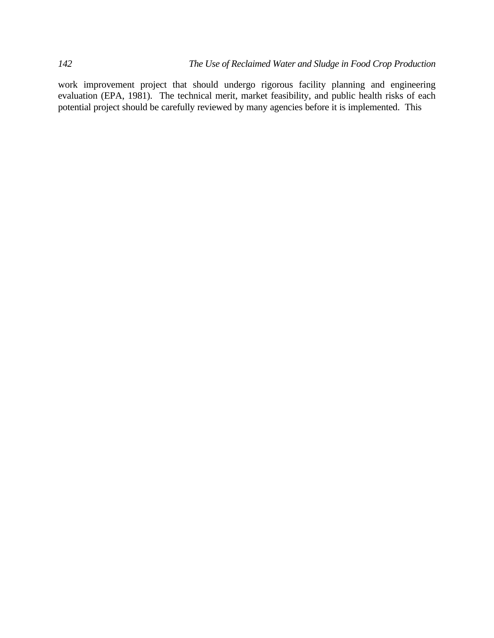work improvement project that should undergo rigorous facility planning and engineering evaluation (EPA, 1981). The technical merit, market feasibility, and public health risks of each potential project should be carefully reviewed by many agencies before it is implemented. This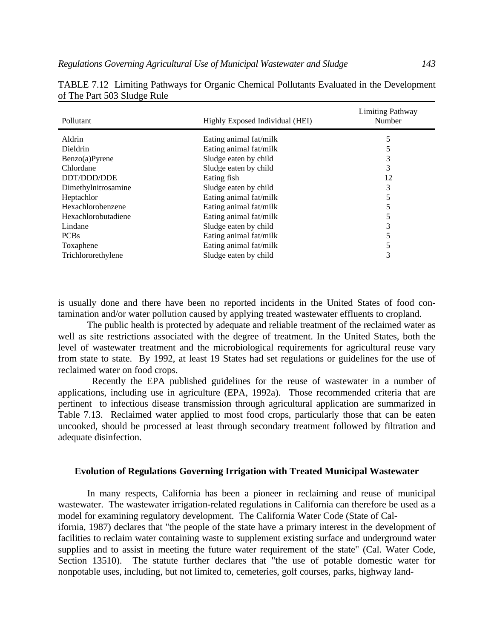| Pollutant           | Highly Exposed Individual (HEI) | Limiting Pathway<br>Number |
|---------------------|---------------------------------|----------------------------|
| Aldrin              | Eating animal fat/milk          |                            |
| Dieldrin            | Eating animal fat/milk          |                            |
| Benzo(a)Pyrene      | Sludge eaten by child           | 3                          |
| Chlordane           | Sludge eaten by child           | 3                          |
| DDT/DDD/DDE         | Eating fish                     | 12                         |
| Dimethylnitrosamine | Sludge eaten by child           | 3                          |
| Heptachlor          | Eating animal fat/milk          |                            |
| Hexachlorobenzene   | Eating animal fat/milk          |                            |
| Hexachlorobutadiene | Eating animal fat/milk          |                            |
| Lindane             | Sludge eaten by child           | 3                          |
| <b>PCBs</b>         | Eating animal fat/milk          |                            |
| Toxaphene           | Eating animal fat/milk          |                            |
| Trichlororethylene  | Sludge eaten by child           | 3                          |

| TABLE 7.12 Limiting Pathways for Organic Chemical Pollutants Evaluated in the Development |  |  |  |  |
|-------------------------------------------------------------------------------------------|--|--|--|--|
| of The Part 503 Sludge Rule                                                               |  |  |  |  |

is usually done and there have been no reported incidents in the United States of food contamination and/or water pollution caused by applying treated wastewater effluents to cropland.

The public health is protected by adequate and reliable treatment of the reclaimed water as well as site restrictions associated with the degree of treatment. In the United States, both the level of wastewater treatment and the microbiological requirements for agricultural reuse vary from state to state. By 1992, at least 19 States had set regulations or guidelines for the use of reclaimed water on food crops.

 Recently the EPA published guidelines for the reuse of wastewater in a number of applications, including use in agriculture (EPA, 1992a). Those recommended criteria that are pertinent to infectious disease transmission through agricultural application are summarized in Table 7.13. Reclaimed water applied to most food crops, particularly those that can be eaten uncooked, should be processed at least through secondary treatment followed by filtration and adequate disinfection.

# **Evolution of Regulations Governing Irrigation with Treated Municipal Wastewater**

In many respects, California has been a pioneer in reclaiming and reuse of municipal wastewater. The wastewater irrigation-related regulations in California can therefore be used as a model for examining regulatory development. The California Water Code (State of Cal-

ifornia, 1987) declares that "the people of the state have a primary interest in the development of facilities to reclaim water containing waste to supplement existing surface and underground water supplies and to assist in meeting the future water requirement of the state" (Cal. Water Code, Section 13510). The statute further declares that "the use of potable domestic water for nonpotable uses, including, but not limited to, cemeteries, golf courses, parks, highway land-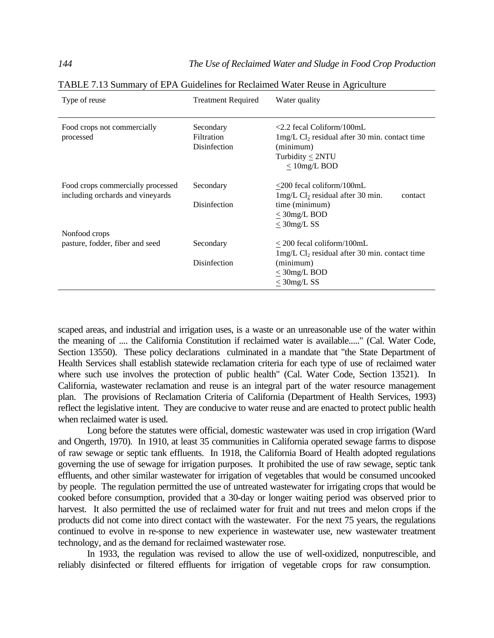| Type of reuse                                                         | <b>Treatment Required</b>               | Water quality                                                                                                                                                                   |  |  |
|-----------------------------------------------------------------------|-----------------------------------------|---------------------------------------------------------------------------------------------------------------------------------------------------------------------------------|--|--|
| Food crops not commercially<br>processed                              | Secondary<br>Filtration<br>Disinfection | $\langle 2.2 \text{ feed Coliform}/100 \text{m} \rangle$<br>$1mg/L$ Cl <sub>2</sub> residual after 30 min. contact time<br>(minimum)<br>Turbidity $\leq 2NTU$<br>$<$ 10mg/L BOD |  |  |
| Food crops commercially processed<br>including orchards and vineyards | Secondary<br>Disinfection               | $\leq$ 200 fecal coliform/100mL<br>$1mg/L$ Cl <sub>2</sub> residual after 30 min.<br>contact<br>time (minimum)<br>$<$ 30mg/L BOD<br>$<$ 30mg/L SS                               |  |  |
| Nonfood crops                                                         |                                         |                                                                                                                                                                                 |  |  |
| pasture, fodder, fiber and seed                                       | Secondary                               | $\langle 200 \text{ feed coliform}/100 \text{mL} \rangle$<br>$1mg/L$ Cl <sub>2</sub> residual after 30 min. contact time                                                        |  |  |
|                                                                       | Disinfection                            | (minimum)<br>$\leq$ 30mg/L BOD<br>$<$ 30mg/L SS                                                                                                                                 |  |  |

TABLE 7.13 Summary of EPA Guidelines for Reclaimed Water Reuse in Agriculture

scaped areas, and industrial and irrigation uses, is a waste or an unreasonable use of the water within the meaning of .... the California Constitution if reclaimed water is available....." (Cal. Water Code, Section 13550). These policy declarations culminated in a mandate that "the State Department of Health Services shall establish statewide reclamation criteria for each type of use of reclaimed water where such use involves the protection of public health" (Cal. Water Code, Section 13521). In California, wastewater reclamation and reuse is an integral part of the water resource management plan. The provisions of Reclamation Criteria of California (Department of Health Services, 1993) reflect the legislative intent. They are conducive to water reuse and are enacted to protect public health when reclaimed water is used.

Long before the statutes were official, domestic wastewater was used in crop irrigation (Ward and Ongerth, 1970). In 1910, at least 35 communities in California operated sewage farms to dispose of raw sewage or septic tank effluents. In 1918, the California Board of Health adopted regulations governing the use of sewage for irrigation purposes. It prohibited the use of raw sewage, septic tank effluents, and other similar wastewater for irrigation of vegetables that would be consumed uncooked by people. The regulation permitted the use of untreated wastewater for irrigating crops that would be cooked before consumption, provided that a 30-day or longer waiting period was observed prior to harvest. It also permitted the use of reclaimed water for fruit and nut trees and melon crops if the products did not come into direct contact with the wastewater. For the next 75 years, the regulations continued to evolve in re-sponse to new experience in wastewater use, new wastewater treatment technology, and as the demand for reclaimed wastewater rose.

In 1933, the regulation was revised to allow the use of well-oxidized, nonputrescible, and reliably disinfected or filtered effluents for irrigation of vegetable crops for raw consumption.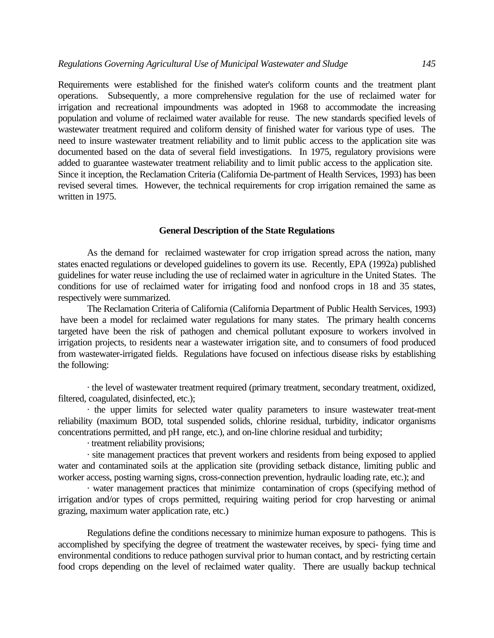Requirements were established for the finished water's coliform counts and the treatment plant operations. Subsequently, a more comprehensive regulation for the use of reclaimed water for irrigation and recreational impoundments was adopted in 1968 to accommodate the increasing population and volume of reclaimed water available for reuse. The new standards specified levels of wastewater treatment required and coliform density of finished water for various type of uses. The need to insure wastewater treatment reliability and to limit public access to the application site was documented based on the data of several field investigations. In 1975, regulatory provisions were added to guarantee wastewater treatment reliability and to limit public access to the application site. Since it inception, the Reclamation Criteria (California De-partment of Health Services, 1993) has been revised several times. However, the technical requirements for crop irrigation remained the same as written in 1975.

# **General Description of the State Regulations**

As the demand for reclaimed wastewater for crop irrigation spread across the nation, many states enacted regulations or developed guidelines to govern its use. Recently, EPA (1992a) published guidelines for water reuse including the use of reclaimed water in agriculture in the United States. The conditions for use of reclaimed water for irrigating food and nonfood crops in 18 and 35 states, respectively were summarized.

The Reclamation Criteria of California (California Department of Public Health Services, 1993) have been a model for reclaimed water regulations for many states. The primary health concerns targeted have been the risk of pathogen and chemical pollutant exposure to workers involved in irrigation projects, to residents near a wastewater irrigation site, and to consumers of food produced from wastewater-irrigated fields. Regulations have focused on infectious disease risks by establishing the following:

· the level of wastewater treatment required (primary treatment, secondary treatment, oxidized, filtered, coagulated, disinfected, etc.);

· the upper limits for selected water quality parameters to insure wastewater treat-ment reliability (maximum BOD, total suspended solids, chlorine residual, turbidity, indicator organisms concentrations permitted, and pH range, etc.), and on-line chlorine residual and turbidity;

· treatment reliability provisions;

· site management practices that prevent workers and residents from being exposed to applied water and contaminated soils at the application site (providing setback distance, limiting public and worker access, posting warning signs, cross-connection prevention, hydraulic loading rate, etc.); and

· water management practices that minimize contamination of crops (specifying method of irrigation and/or types of crops permitted, requiring waiting period for crop harvesting or animal grazing, maximum water application rate, etc.)

Regulations define the conditions necessary to minimize human exposure to pathogens. This is accomplished by specifying the degree of treatment the wastewater receives, by speci- fying time and environmental conditions to reduce pathogen survival prior to human contact, and by restricting certain food crops depending on the level of reclaimed water quality. There are usually backup technical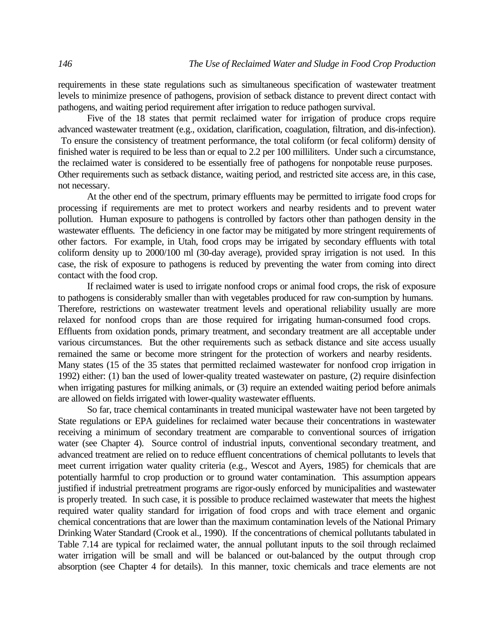requirements in these state regulations such as simultaneous specification of wastewater treatment levels to minimize presence of pathogens, provision of setback distance to prevent direct contact with pathogens, and waiting period requirement after irrigation to reduce pathogen survival.

Five of the 18 states that permit reclaimed water for irrigation of produce crops require advanced wastewater treatment (e.g., oxidation, clarification, coagulation, filtration, and dis-infection). To ensure the consistency of treatment performance, the total coliform (or fecal coliform) density of finished water is required to be less than or equal to 2.2 per 100 milliliters. Under such a circumstance, the reclaimed water is considered to be essentially free of pathogens for nonpotable reuse purposes. Other requirements such as setback distance, waiting period, and restricted site access are, in this case, not necessary.

At the other end of the spectrum, primary effluents may be permitted to irrigate food crops for processing if requirements are met to protect workers and nearby residents and to prevent water pollution. Human exposure to pathogens is controlled by factors other than pathogen density in the wastewater effluents. The deficiency in one factor may be mitigated by more stringent requirements of other factors. For example, in Utah, food crops may be irrigated by secondary effluents with total coliform density up to 2000/100 ml (30-day average), provided spray irrigation is not used. In this case, the risk of exposure to pathogens is reduced by preventing the water from coming into direct contact with the food crop.

If reclaimed water is used to irrigate nonfood crops or animal food crops, the risk of exposure to pathogens is considerably smaller than with vegetables produced for raw con-sumption by humans. Therefore, restrictions on wastewater treatment levels and operational reliability usually are more relaxed for nonfood crops than are those required for irrigating human-consumed food crops. Effluents from oxidation ponds, primary treatment, and secondary treatment are all acceptable under various circumstances. But the other requirements such as setback distance and site access usually remained the same or become more stringent for the protection of workers and nearby residents. Many states (15 of the 35 states that permitted reclaimed wastewater for nonfood crop irrigation in 1992) either: (1) ban the used of lower-quality treated wastewater on pasture, (2) require disinfection when irrigating pastures for milking animals, or  $(3)$  require an extended waiting period before animals are allowed on fields irrigated with lower-quality wastewater effluents.

So far, trace chemical contaminants in treated municipal wastewater have not been targeted by State regulations or EPA guidelines for reclaimed water because their concentrations in wastewater receiving a minimum of secondary treatment are comparable to conventional sources of irrigation water (see Chapter 4). Source control of industrial inputs, conventional secondary treatment, and advanced treatment are relied on to reduce effluent concentrations of chemical pollutants to levels that meet current irrigation water quality criteria (e.g., Wescot and Ayers, 1985) for chemicals that are potentially harmful to crop production or to ground water contamination. This assumption appears justified if industrial pretreatment programs are rigor-ously enforced by municipalities and wastewater is properly treated. In such case, it is possible to produce reclaimed wastewater that meets the highest required water quality standard for irrigation of food crops and with trace element and organic chemical concentrations that are lower than the maximum contamination levels of the National Primary Drinking Water Standard (Crook et al., 1990). If the concentrations of chemical pollutants tabulated in Table 7.14 are typical for reclaimed water, the annual pollutant inputs to the soil through reclaimed water irrigation will be small and will be balanced or out-balanced by the output through crop absorption (see Chapter 4 for details). In this manner, toxic chemicals and trace elements are not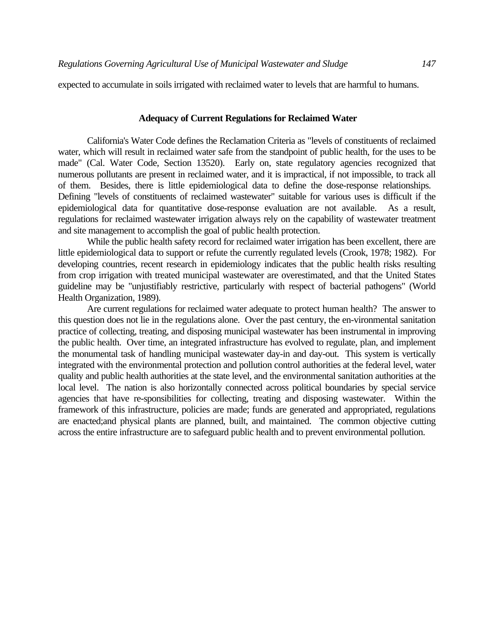expected to accumulate in soils irrigated with reclaimed water to levels that are harmful to humans.

# **Adequacy of Current Regulations for Reclaimed Water**

California's Water Code defines the Reclamation Criteria as "levels of constituents of reclaimed water, which will result in reclaimed water safe from the standpoint of public health, for the uses to be made" (Cal. Water Code, Section 13520). Early on, state regulatory agencies recognized that numerous pollutants are present in reclaimed water, and it is impractical, if not impossible, to track all of them. Besides, there is little epidemiological data to define the dose-response relationships. Defining "levels of constituents of reclaimed wastewater" suitable for various uses is difficult if the epidemiological data for quantitative dose-response evaluation are not available. As a result, regulations for reclaimed wastewater irrigation always rely on the capability of wastewater treatment and site management to accomplish the goal of public health protection.

While the public health safety record for reclaimed water irrigation has been excellent, there are little epidemiological data to support or refute the currently regulated levels (Crook, 1978; 1982). For developing countries, recent research in epidemiology indicates that the public health risks resulting from crop irrigation with treated municipal wastewater are overestimated, and that the United States guideline may be "unjustifiably restrictive, particularly with respect of bacterial pathogens" (World Health Organization, 1989).

Are current regulations for reclaimed water adequate to protect human health? The answer to this question does not lie in the regulations alone. Over the past century, the en-vironmental sanitation practice of collecting, treating, and disposing municipal wastewater has been instrumental in improving the public health. Over time, an integrated infrastructure has evolved to regulate, plan, and implement the monumental task of handling municipal wastewater day-in and day-out. This system is vertically integrated with the environmental protection and pollution control authorities at the federal level, water quality and public health authorities at the state level, and the environmental sanitation authorities at the local level. The nation is also horizontally connected across political boundaries by special service agencies that have re-sponsibilities for collecting, treating and disposing wastewater. Within the framework of this infrastructure, policies are made; funds are generated and appropriated, regulations are enacted;and physical plants are planned, built, and maintained. The common objective cutting across the entire infrastructure are to safeguard public health and to prevent environmental pollution.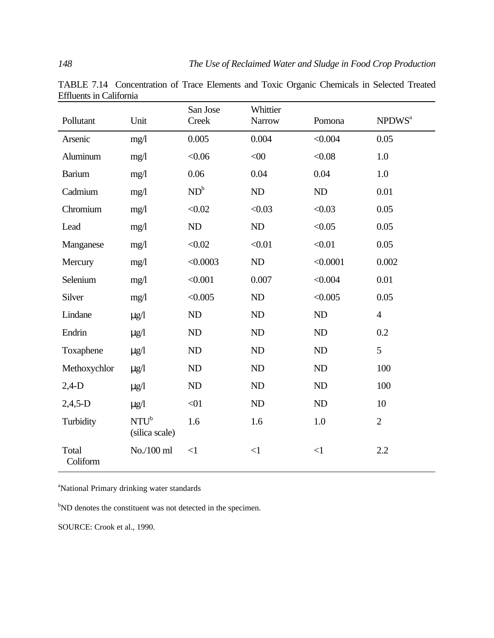| Pollutant         | Unit                               | San Jose<br>Creek | Whittier<br><b>Narrow</b> | Pomona   | $NPDWS^a$      |
|-------------------|------------------------------------|-------------------|---------------------------|----------|----------------|
|                   |                                    |                   |                           |          |                |
| Arsenic           | mg/1                               | 0.005             | 0.004                     | < 0.004  | 0.05           |
| Aluminum          | mg/1                               | < 0.06            | < 00                      | < 0.08   | 1.0            |
| <b>Barium</b>     | mg/1                               | 0.06              | 0.04                      | 0.04     | 1.0            |
| Cadmium           | mg/1                               | $ND^b$            | ND                        | ND       | 0.01           |
| Chromium          | mg/1                               | < 0.02            | < 0.03                    | < 0.03   | 0.05           |
| Lead              | mg/1                               | ND                | ND                        | < 0.05   | 0.05           |
| Manganese         | mg/1                               | < 0.02            | < 0.01                    | < 0.01   | 0.05           |
| Mercury           | mg/1                               | < 0.0003          | ND                        | < 0.0001 | 0.002          |
| Selenium          | mg/1                               | < 0.001           | 0.007                     | < 0.004  | 0.01           |
| Silver            | mg/l                               | < 0.005           | ND                        | < 0.005  | 0.05           |
| Lindane           | $\mu$ g/l                          | ND                | ND                        | ND       | $\overline{4}$ |
| Endrin            | $\mu$ g/l                          | ND                | ND                        | ND       | 0.2            |
| Toxaphene         | $\mu$ g/l                          | ND                | ND                        | ND       | 5              |
| Methoxychlor      | $\mu$ g/l                          | ND                | ND                        | ND       | 100            |
| $2,4-D$           | $\mu$ g/l                          | ND                | $\rm ND$                  | ND       | 100            |
| $2,4,5$ -D        | $\mu$ g/l                          | < 01              | ND                        | ND       | 10             |
| Turbidity         | NTU <sup>b</sup><br>(silica scale) | 1.6               | 1.6                       | 1.0      | $\overline{2}$ |
| Total<br>Coliform | No./100 ml                         | $\leq$ 1          | $\leq$ 1                  | $\leq$ 1 | 2.2            |

TABLE 7.14 Concentration of Trace Elements and Toxic Organic Chemicals in Selected Treated Effluents in California

<sup>a</sup>National Primary drinking water standards

<sup>b</sup>ND denotes the constituent was not detected in the specimen.

SOURCE: Crook et al., 1990.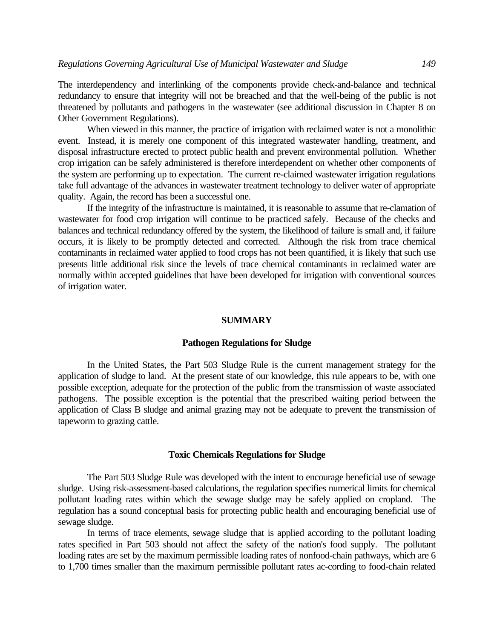The interdependency and interlinking of the components provide check-and-balance and technical redundancy to ensure that integrity will not be breached and that the well-being of the public is not threatened by pollutants and pathogens in the wastewater (see additional discussion in Chapter 8 on Other Government Regulations).

When viewed in this manner, the practice of irrigation with reclaimed water is not a monolithic event. Instead, it is merely one component of this integrated wastewater handling, treatment, and disposal infrastructure erected to protect public health and prevent environmental pollution. Whether crop irrigation can be safely administered is therefore interdependent on whether other components of the system are performing up to expectation. The current re-claimed wastewater irrigation regulations take full advantage of the advances in wastewater treatment technology to deliver water of appropriate quality. Again, the record has been a successful one.

If the integrity of the infrastructure is maintained, it is reasonable to assume that re-clamation of wastewater for food crop irrigation will continue to be practiced safely. Because of the checks and balances and technical redundancy offered by the system, the likelihood of failure is small and, if failure occurs, it is likely to be promptly detected and corrected. Although the risk from trace chemical contaminants in reclaimed water applied to food crops has not been quantified, it is likely that such use presents little additional risk since the levels of trace chemical contaminants in reclaimed water are normally within accepted guidelines that have been developed for irrigation with conventional sources of irrigation water.

#### **SUMMARY**

#### **Pathogen Regulations for Sludge**

In the United States, the Part 503 Sludge Rule is the current management strategy for the application of sludge to land. At the present state of our knowledge, this rule appears to be, with one possible exception, adequate for the protection of the public from the transmission of waste associated pathogens. The possible exception is the potential that the prescribed waiting period between the application of Class B sludge and animal grazing may not be adequate to prevent the transmission of tapeworm to grazing cattle.

# **Toxic Chemicals Regulations for Sludge**

The Part 503 Sludge Rule was developed with the intent to encourage beneficial use of sewage sludge. Using risk-assessment-based calculations, the regulation specifies numerical limits for chemical pollutant loading rates within which the sewage sludge may be safely applied on cropland. The regulation has a sound conceptual basis for protecting public health and encouraging beneficial use of sewage sludge.

In terms of trace elements, sewage sludge that is applied according to the pollutant loading rates specified in Part 503 should not affect the safety of the nation's food supply. The pollutant loading rates are set by the maximum permissible loading rates of nonfood-chain pathways, which are 6 to 1,700 times smaller than the maximum permissible pollutant rates ac-cording to food-chain related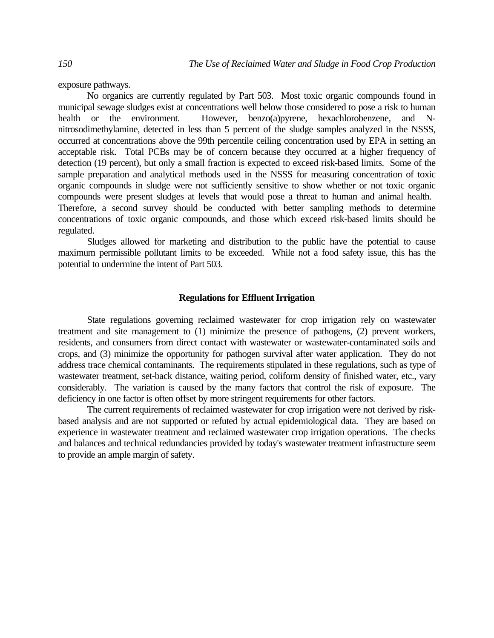exposure pathways.

No organics are currently regulated by Part 503. Most toxic organic compounds found in municipal sewage sludges exist at concentrations well below those considered to pose a risk to human health or the environment. However, benzo(a)pyrene, hexachlorobenzene, and Nnitrosodimethylamine, detected in less than 5 percent of the sludge samples analyzed in the NSSS, occurred at concentrations above the 99th percentile ceiling concentration used by EPA in setting an acceptable risk. Total PCBs may be of concern because they occurred at a higher frequency of detection (19 percent), but only a small fraction is expected to exceed risk-based limits. Some of the sample preparation and analytical methods used in the NSSS for measuring concentration of toxic organic compounds in sludge were not sufficiently sensitive to show whether or not toxic organic compounds were present sludges at levels that would pose a threat to human and animal health. Therefore, a second survey should be conducted with better sampling methods to determine concentrations of toxic organic compounds, and those which exceed risk-based limits should be regulated.

Sludges allowed for marketing and distribution to the public have the potential to cause maximum permissible pollutant limits to be exceeded. While not a food safety issue, this has the potential to undermine the intent of Part 503.

# **Regulations for Effluent Irrigation**

State regulations governing reclaimed wastewater for crop irrigation rely on wastewater treatment and site management to (1) minimize the presence of pathogens, (2) prevent workers, residents, and consumers from direct contact with wastewater or wastewater-contaminated soils and crops, and (3) minimize the opportunity for pathogen survival after water application. They do not address trace chemical contaminants. The requirements stipulated in these regulations, such as type of wastewater treatment, set-back distance, waiting period, coliform density of finished water, etc., vary considerably. The variation is caused by the many factors that control the risk of exposure. The deficiency in one factor is often offset by more stringent requirements for other factors.

The current requirements of reclaimed wastewater for crop irrigation were not derived by riskbased analysis and are not supported or refuted by actual epidemiological data. They are based on experience in wastewater treatment and reclaimed wastewater crop irrigation operations. The checks and balances and technical redundancies provided by today's wastewater treatment infrastructure seem to provide an ample margin of safety.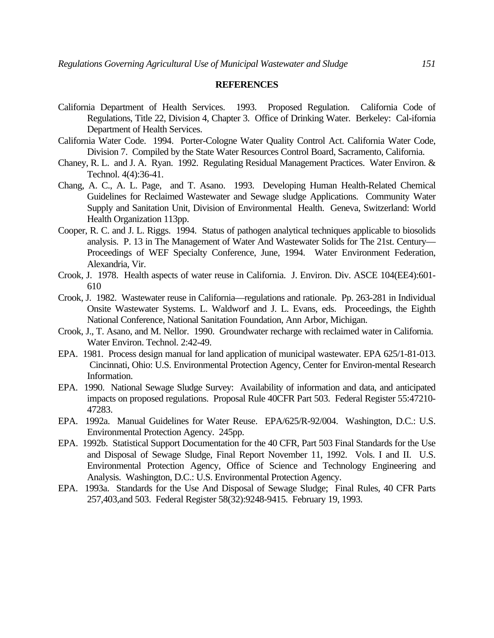# **REFERENCES**

- California Department of Health Services. 1993. Proposed Regulation. California Code of Regulations, Title 22, Division 4, Chapter 3. Office of Drinking Water. Berkeley: Cal-ifornia Department of Health Services.
- California Water Code. 1994. Porter-Cologne Water Quality Control Act. California Water Code, Division 7. Compiled by the State Water Resources Control Board, Sacramento, California.
- Chaney, R. L. and J. A. Ryan. 1992. Regulating Residual Management Practices. Water Environ. & Technol. 4(4):36-41.
- Chang, A. C., A. L. Page, and T. Asano. 1993. Developing Human Health-Related Chemical Guidelines for Reclaimed Wastewater and Sewage sludge Applications. Community Water Supply and Sanitation Unit, Division of Environmental Health. Geneva, Switzerland: World Health Organization 113pp.
- Cooper, R. C. and J. L. Riggs. 1994. Status of pathogen analytical techniques applicable to biosolids analysis. P. 13 in The Management of Water And Wastewater Solids for The 21st. Century— Proceedings of WEF Specialty Conference, June, 1994. Water Environment Federation, Alexandria, Vir.
- Crook, J. 1978. Health aspects of water reuse in California. J. Environ. Div. ASCE 104(EE4):601- 610
- Crook, J. 1982. Wastewater reuse in California—regulations and rationale. Pp. 263-281 in Individual Onsite Wastewater Systems. L. Waldworf and J. L. Evans, eds. Proceedings, the Eighth National Conference, National Sanitation Foundation, Ann Arbor, Michigan.
- Crook, J., T. Asano, and M. Nellor. 1990. Groundwater recharge with reclaimed water in California. Water Environ. Technol. 2:42-49.
- EPA. 1981. Process design manual for land application of municipal wastewater. EPA 625/1-81-013. Cincinnati, Ohio: U.S. Environmental Protection Agency, Center for Environ-mental Research Information.
- EPA. 1990. National Sewage Sludge Survey: Availability of information and data, and anticipated impacts on proposed regulations. Proposal Rule 40CFR Part 503. Federal Register 55:47210- 47283.
- EPA. 1992a. Manual Guidelines for Water Reuse. EPA/625/R-92/004. Washington, D.C.: U.S. Environmental Protection Agency. 245pp.
- EPA. 1992b. Statistical Support Documentation for the 40 CFR, Part 503 Final Standards for the Use and Disposal of Sewage Sludge, Final Report November 11, 1992. Vols. I and II. U.S. Environmental Protection Agency, Office of Science and Technology Engineering and Analysis. Washington, D.C.: U.S. Environmental Protection Agency.
- EPA. 1993a. Standards for the Use And Disposal of Sewage Sludge; Final Rules, 40 CFR Parts 257,403,and 503. Federal Register 58(32):9248-9415. February 19, 1993.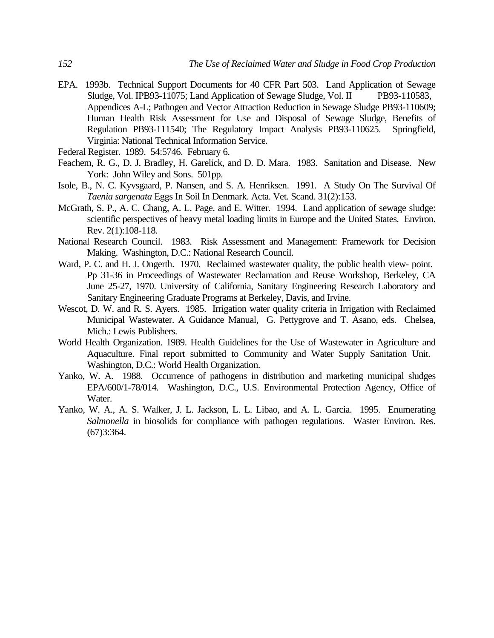- EPA. 1993b. Technical Support Documents for 40 CFR Part 503. Land Application of Sewage Sludge, Vol. IPB93-11075; Land Application of Sewage Sludge, Vol. II PB93-110583, Appendices A-L; Pathogen and Vector Attraction Reduction in Sewage Sludge PB93-110609; Human Health Risk Assessment for Use and Disposal of Sewage Sludge, Benefits of Regulation PB93-111540; The Regulatory Impact Analysis PB93-110625. Springfield, Virginia: National Technical Information Service.
- Federal Register. 1989. 54:5746. February 6.
- Feachem, R. G., D. J. Bradley, H. Garelick, and D. D. Mara. 1983. Sanitation and Disease. New York: John Wiley and Sons. 501pp.
- Isole, B., N. C. Kyvsgaard, P. Nansen, and S. A. Henriksen. 1991. A Study On The Survival Of *Taenia sargenata* Eggs In Soil In Denmark. Acta. Vet. Scand. 31(2):153.
- McGrath, S. P., A. C. Chang, A. L. Page, and E. Witter. 1994. Land application of sewage sludge: scientific perspectives of heavy metal loading limits in Europe and the United States. Environ. Rev. 2(1):108-118.
- National Research Council. 1983. Risk Assessment and Management: Framework for Decision Making. Washington, D.C.: National Research Council.
- Ward, P. C. and H. J. Ongerth. 1970. Reclaimed wastewater quality, the public health view- point. Pp 31-36 in Proceedings of Wastewater Reclamation and Reuse Workshop, Berkeley, CA June 25-27, 1970. University of California, Sanitary Engineering Research Laboratory and Sanitary Engineering Graduate Programs at Berkeley, Davis, and Irvine.
- Wescot, D. W. and R. S. Ayers. 1985. Irrigation water quality criteria in Irrigation with Reclaimed Municipal Wastewater. A Guidance Manual, G. Pettygrove and T. Asano, eds. Chelsea, Mich.: Lewis Publishers.
- World Health Organization. 1989. Health Guidelines for the Use of Wastewater in Agriculture and Aquaculture. Final report submitted to Community and Water Supply Sanitation Unit. Washington, D.C.: World Health Organization.
- Yanko, W. A. 1988. Occurrence of pathogens in distribution and marketing municipal sludges EPA/600/1-78/014. Washington, D.C., U.S. Environmental Protection Agency, Office of Water.
- Yanko, W. A., A. S. Walker, J. L. Jackson, L. L. Libao, and A. L. Garcia. 1995. Enumerating *Salmonella* in biosolids for compliance with pathogen regulations. Waster Environ. Res. (67)3:364.